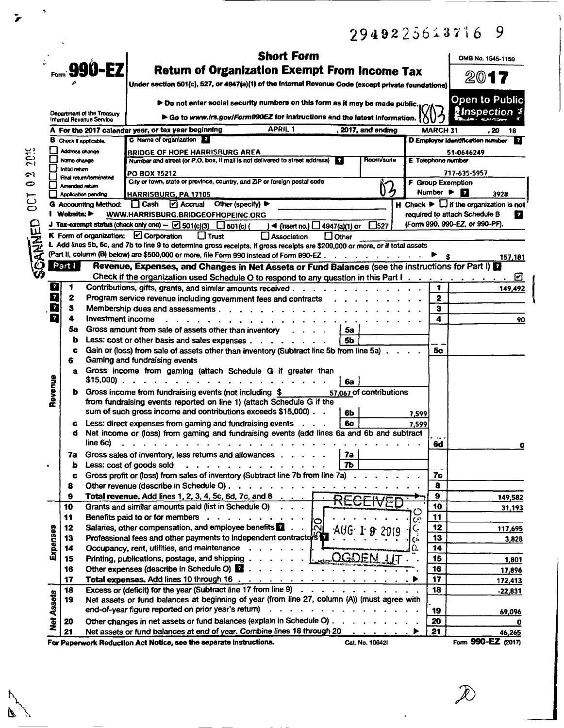|             |                         |                               |                                                        | 2949225613716                                                                                                                                                                                                                                                                                                                                                                                                                                                                                                                                                                       |                              | 9                                                                            |
|-------------|-------------------------|-------------------------------|--------------------------------------------------------|-------------------------------------------------------------------------------------------------------------------------------------------------------------------------------------------------------------------------------------------------------------------------------------------------------------------------------------------------------------------------------------------------------------------------------------------------------------------------------------------------------------------------------------------------------------------------------------|------------------------------|------------------------------------------------------------------------------|
|             |                         |                               |                                                        | <b>Short Form</b>                                                                                                                                                                                                                                                                                                                                                                                                                                                                                                                                                                   |                              | OMB No. 1545-1150                                                            |
|             |                         |                               | Form: 990-EZ                                           | <b>Return of Organization Exempt From Income Tax</b>                                                                                                                                                                                                                                                                                                                                                                                                                                                                                                                                |                              |                                                                              |
|             |                         |                               |                                                        | Under section 501(c), 527, or 4947(a)(1) of the internal Revenue Code (except private foundations)                                                                                                                                                                                                                                                                                                                                                                                                                                                                                  |                              | 2017                                                                         |
|             |                         |                               |                                                        | > Do not enter social security numbers on this form as it may be made public.                                                                                                                                                                                                                                                                                                                                                                                                                                                                                                       |                              | <b>Open to Public</b>                                                        |
|             |                         |                               | Department of the Treasury<br>Internal Revenue Service | Go to www.irs.gov/Form990EZ for instructions and the latest information.                                                                                                                                                                                                                                                                                                                                                                                                                                                                                                            |                              | ∦Inspection ‡                                                                |
|             |                         |                               |                                                        | APRIL 1<br>A  For the 2017 calendar vear, or tax year beginning<br>2017, and ending                                                                                                                                                                                                                                                                                                                                                                                                                                                                                                 | MARCH 31                     | . 20<br>18                                                                   |
|             |                         |                               | <b>B</b> Check if applicable.                          | C Name of organization                                                                                                                                                                                                                                                                                                                                                                                                                                                                                                                                                              |                              | <b>D Employer identification number</b><br> ?                                |
| <b>2019</b> |                         | Address change                |                                                        | <b>BRIDGE OF HOPE HARRISBURG AREA</b>                                                                                                                                                                                                                                                                                                                                                                                                                                                                                                                                               |                              | 51-0646249                                                                   |
|             |                         | Name change<br>Initial return |                                                        | Room/suite<br>Number and street (or P.O. box, if mail is not delivered to street address)<br>$\mathbf{r}$                                                                                                                                                                                                                                                                                                                                                                                                                                                                           | <b>E</b> Telephone number    |                                                                              |
| رے          |                         |                               | Final return/terminated                                | PO BOX 15212                                                                                                                                                                                                                                                                                                                                                                                                                                                                                                                                                                        |                              | 717-635-5957                                                                 |
| $\bullet$   |                         | Amended return                |                                                        | City or town, state or province, country, and ZIP or foreign postal code<br>03                                                                                                                                                                                                                                                                                                                                                                                                                                                                                                      |                              | <b>F</b> Group Exemption                                                     |
| <b>DCT</b>  |                         |                               | <b>Application pending</b>                             | HARRISBURG, PA 17105                                                                                                                                                                                                                                                                                                                                                                                                                                                                                                                                                                | Number $\blacktriangleright$ | $\vert \cdot \vert$<br>3928                                                  |
|             |                         |                               | <b>G</b> Accounting Method:                            | $\prod$ Cash<br>$\sqrt{2}$ Accrual<br>Other (specify)                                                                                                                                                                                                                                                                                                                                                                                                                                                                                                                               |                              | $\overline{H}$ Check $\blacktriangleright$ $\Box$ if the organization is not |
|             |                         | I Website: ▶                  |                                                        | WWW.HARRISBURG.BRIDGEOFHOPEINC.ORG<br>J Tax-exempt status (check only one) - $\boxdot$ 501(c)(3) $\Box$ 501(c) (                                                                                                                                                                                                                                                                                                                                                                                                                                                                    |                              | required to attach Schedule B<br>П<br>(Form 990, 990-EZ, or 990-PF).         |
|             |                         |                               |                                                        | $\Box$ 527<br>$)$ < (insert no.) $\Box$ 4947(a)(1) or<br>$\Box$ Trust                                                                                                                                                                                                                                                                                                                                                                                                                                                                                                               |                              |                                                                              |
|             |                         |                               |                                                        | K Form of organization: $\Box$ Corporation<br>LI Association<br>$\Box$ Other<br>L Add lines 5b, 6c, and 7b to line 9 to determine gross receipts. If gross receipts are \$200,000 or more, or if total assets                                                                                                                                                                                                                                                                                                                                                                       |                              |                                                                              |
|             |                         |                               |                                                        | (Part II, column (B) below) are \$500,000 or more, file Form 990 instead of Form 990-EZ.<br>and the state of the state of the                                                                                                                                                                                                                                                                                                                                                                                                                                                       |                              | 157,181                                                                      |
| CANNED      |                         | Part I                        |                                                        | Revenue, Expenses, and Changes in Net Assets or Fund Balances (see the instructions for Part I)                                                                                                                                                                                                                                                                                                                                                                                                                                                                                     |                              |                                                                              |
|             |                         |                               |                                                        |                                                                                                                                                                                                                                                                                                                                                                                                                                                                                                                                                                                     |                              | ☑                                                                            |
|             | $\mathbf{r}$            | 1                             |                                                        | Contributions, gifts, grants, and similar amounts received                                                                                                                                                                                                                                                                                                                                                                                                                                                                                                                          | 1                            | 149,492                                                                      |
|             | $\overline{\mathbf{z}}$ | 2                             |                                                        | Program service revenue including government fees and contracts                                                                                                                                                                                                                                                                                                                                                                                                                                                                                                                     | $\mathbf{2}$                 |                                                                              |
|             | Q                       | з                             |                                                        | Membership dues and assessments<br>$\mathbf{r}$ , $\mathbf{r}$ , $\mathbf{r}$ , $\mathbf{r}$ , $\mathbf{r}$ , $\mathbf{r}$                                                                                                                                                                                                                                                                                                                                                                                                                                                          | з                            |                                                                              |
|             | 7                       | 4                             | Investment income                                      |                                                                                                                                                                                                                                                                                                                                                                                                                                                                                                                                                                                     | 4                            | 90                                                                           |
|             |                         | 58                            |                                                        | Gross amount from sale of assets other than inventory<br>5a                                                                                                                                                                                                                                                                                                                                                                                                                                                                                                                         |                              |                                                                              |
|             |                         | ь                             |                                                        | Less: cost or other basis and sales expenses $\ldots$ $\ldots$ $\ldots$<br>5b                                                                                                                                                                                                                                                                                                                                                                                                                                                                                                       |                              |                                                                              |
|             |                         | c<br>6                        |                                                        | Gain or (loss) from sale of assets other than inventory (Subtract line 5b from line 5a).<br>Gaming and fundraising events                                                                                                                                                                                                                                                                                                                                                                                                                                                           | 5с                           |                                                                              |
|             |                         |                               | \$15,000                                               | a Gross income from gaming (attach Schedule G if greater than<br>$\mathbf{r}$ . The set of the set of the set of the set of the set of the set of the set of the set of the set of the set of the set of the set of the set of the set of the set of the set of the set of the set of the set of t<br>6а                                                                                                                                                                                                                                                                            |                              |                                                                              |
|             | Revenue                 |                               |                                                        | Gross income from fundraising events (not including \$<br>57,067 of contributions<br>from fundraising events reported on line 1) (attach Schedule G if the                                                                                                                                                                                                                                                                                                                                                                                                                          |                              |                                                                              |
|             |                         |                               |                                                        | sum of such gross income and contributions exceeds \$15,000). .<br>6 <b>b</b><br>7,599                                                                                                                                                                                                                                                                                                                                                                                                                                                                                              |                              |                                                                              |
|             |                         |                               |                                                        | <b>6c</b><br>Less: direct expenses from gaming and fundraising events<br>7,599                                                                                                                                                                                                                                                                                                                                                                                                                                                                                                      |                              |                                                                              |
|             |                         | đ                             |                                                        | Net income or (loss) from gaming and fundraising events (add lines 6a and 6b and subtract                                                                                                                                                                                                                                                                                                                                                                                                                                                                                           |                              |                                                                              |
|             |                         |                               | line 6c)                                               |                                                                                                                                                                                                                                                                                                                                                                                                                                                                                                                                                                                     | 6d                           | 0                                                                            |
|             |                         | 7a                            |                                                        | Gross sales of inventory, less returns and allowances<br>7a                                                                                                                                                                                                                                                                                                                                                                                                                                                                                                                         |                              |                                                                              |
|             |                         | b                             | Less: cost of goods sold                               | 7Ь<br>Gross profit or (loss) from sales of inventory (Subtract line 7b from line 7a)                                                                                                                                                                                                                                                                                                                                                                                                                                                                                                | 7c                           |                                                                              |
|             |                         | c<br>8                        |                                                        | Other revenue (describe in Schedule O)                                                                                                                                                                                                                                                                                                                                                                                                                                                                                                                                              | 8                            |                                                                              |
|             |                         | 9                             |                                                        | <b>Total revenue.</b> Add lines 1, 2, 3, 4, 5c, 6d, 7c, and 8                                                                                                                                                                                                                                                                                                                                                                                                                                                                                                                       | $\bullet$                    | 149,582                                                                      |
|             |                         | 10                            |                                                        | Grants and similar amounts paid (list in Schedule O)<br>$2.12 \times 10^{-1}$                                                                                                                                                                                                                                                                                                                                                                                                                                                                                                       | 10                           | 31,193                                                                       |
|             |                         | 11                            |                                                        | Benefits paid to or for members<br>Ō                                                                                                                                                                                                                                                                                                                                                                                                                                                                                                                                                | 11                           |                                                                              |
|             |                         | 12                            |                                                        | Salaries, other compensation, and employee benefits <b>12</b><br>ΙÑ                                                                                                                                                                                                                                                                                                                                                                                                                                                                                                                 | 12                           | 117,695                                                                      |
|             | Expenses                | 13                            |                                                        | ن<br>پ<br>Professional fees and other payments to independent contractors                                                                                                                                                                                                                                                                                                                                                                                                                                                                                                           | 13                           | 3,828                                                                        |
|             |                         | 14                            |                                                        | Occupancy, rent, utilities, and maintenance<br>Ω.                                                                                                                                                                                                                                                                                                                                                                                                                                                                                                                                   | 14                           |                                                                              |
|             |                         | 15                            |                                                        | OGDEN UT<br>Printing, publications, postage, and shipping 1                                                                                                                                                                                                                                                                                                                                                                                                                                                                                                                         | 15                           | 1,801                                                                        |
|             |                         | 16                            |                                                        |                                                                                                                                                                                                                                                                                                                                                                                                                                                                                                                                                                                     | 16                           | 17,896                                                                       |
|             |                         | 17                            |                                                        | <b>Total expenses.</b> Add lines 10 through 16 $\ldots$ $\ldots$ $\ldots$ $\ldots$ $\ldots$ $\ldots$                                                                                                                                                                                                                                                                                                                                                                                                                                                                                | 17                           | 172,413                                                                      |
|             |                         | 18                            |                                                        | Excess or (deficit) for the year (Subtract line 17 from line 9)<br>$\mathbf{1} \times \mathbf{1} \times \mathbf{1} \times \mathbf{1} \times \mathbf{1} \times \mathbf{1} \times \mathbf{1} \times \mathbf{1} \times \mathbf{1} \times \mathbf{1} \times \mathbf{1} \times \mathbf{1} \times \mathbf{1} \times \mathbf{1} \times \mathbf{1} \times \mathbf{1} \times \mathbf{1} \times \mathbf{1} \times \mathbf{1} \times \mathbf{1} \times \mathbf{1} \times \mathbf{1} \times \mathbf{1} \times \mathbf{1} \times \mathbf{1} \times \mathbf{1} \times \mathbf{1} \times \mathbf{$ | 18                           | $-22,831$                                                                    |
|             |                         | 19                            |                                                        | Net assets or fund balances at beginning of year (from line 27, column (A)) (must agree with<br>end-of-year figure reported on prior year's return)                                                                                                                                                                                                                                                                                                                                                                                                                                 |                              |                                                                              |
|             | <b>Net Assets</b>       |                               |                                                        | Other changes in net assets or fund balances (explain in Schedule O)                                                                                                                                                                                                                                                                                                                                                                                                                                                                                                                | 19                           | 69,096                                                                       |
|             |                         | 20<br>21                      |                                                        | Net assets or fund balances at end of year. Combine lines 18 through 20                                                                                                                                                                                                                                                                                                                                                                                                                                                                                                             | 20<br>21                     | o                                                                            |
|             |                         |                               |                                                        | ▸                                                                                                                                                                                                                                                                                                                                                                                                                                                                                                                                                                                   |                              | 46,265                                                                       |

For Paperwork Reduction Act Notice, see the separate instructions.

 $\ddot{\phantom{1}}$ 

 $\ddot{\mathbf{r}}$ 

 $\overline{\mathbf{z}}$ 

Cat. No. 106421

Form 990-EZ (2017)

 $\mathbf{I}$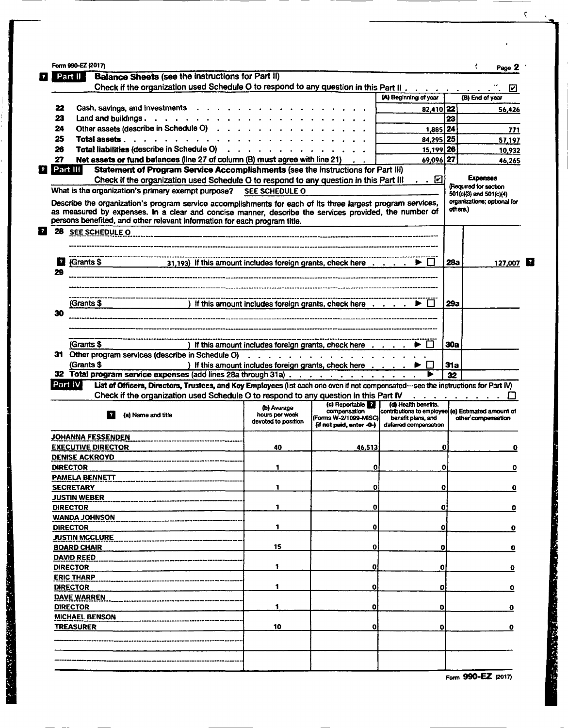| Part II                                                                                                                                                                                                                                                                                                                                                                                                                                           | <b>Balance Sheets (see the instructions for Part II)</b>                                                                                                                                                                                                                                          |                               |                                                                                                       |                                                                                                 |            |                                                  |
|---------------------------------------------------------------------------------------------------------------------------------------------------------------------------------------------------------------------------------------------------------------------------------------------------------------------------------------------------------------------------------------------------------------------------------------------------|---------------------------------------------------------------------------------------------------------------------------------------------------------------------------------------------------------------------------------------------------------------------------------------------------|-------------------------------|-------------------------------------------------------------------------------------------------------|-------------------------------------------------------------------------------------------------|------------|--------------------------------------------------|
|                                                                                                                                                                                                                                                                                                                                                                                                                                                   | Check if the organization used Schedule O to respond to any question in this Part II                                                                                                                                                                                                              |                               |                                                                                                       |                                                                                                 |            | ☑                                                |
|                                                                                                                                                                                                                                                                                                                                                                                                                                                   |                                                                                                                                                                                                                                                                                                   |                               |                                                                                                       | (A) Beginning of year                                                                           |            | (B) End of year                                  |
| 22                                                                                                                                                                                                                                                                                                                                                                                                                                                | Cash, savings, and investments                                                                                                                                                                                                                                                                    |                               |                                                                                                       | 82,410 22                                                                                       |            | 56,426                                           |
| 23                                                                                                                                                                                                                                                                                                                                                                                                                                                | Land and buildings. $\ldots$ $\ldots$ $\ldots$ $\ldots$ $\ldots$ $\ldots$ $\ldots$                                                                                                                                                                                                                |                               |                                                                                                       |                                                                                                 | 23         |                                                  |
| 24                                                                                                                                                                                                                                                                                                                                                                                                                                                | Other assets (describe in Schedule O)                                                                                                                                                                                                                                                             |                               |                                                                                                       | 1,885 24                                                                                        |            | 771                                              |
| 25                                                                                                                                                                                                                                                                                                                                                                                                                                                | Total assets $\ldots$ $\ldots$ $\ldots$ $\ldots$                                                                                                                                                                                                                                                  |                               |                                                                                                       | 84,295 25                                                                                       |            | 57,197                                           |
| 26                                                                                                                                                                                                                                                                                                                                                                                                                                                | Total liabilities (describe in Schedule O)                                                                                                                                                                                                                                                        |                               |                                                                                                       | 15,199 26                                                                                       |            | 10,932                                           |
| 27                                                                                                                                                                                                                                                                                                                                                                                                                                                | Net assets or fund balances (line 27 of column (B) must agree with line 21)                                                                                                                                                                                                                       |                               |                                                                                                       | 69,096 27                                                                                       |            | 46,265                                           |
| $\left  \cdot \right $ Part III                                                                                                                                                                                                                                                                                                                                                                                                                   | Statement of Program Service Accomplishments (see the instructions for Part III)                                                                                                                                                                                                                  |                               |                                                                                                       |                                                                                                 |            |                                                  |
|                                                                                                                                                                                                                                                                                                                                                                                                                                                   | Check if the organization used Schedule O to respond to any question in this Part III                                                                                                                                                                                                             |                               |                                                                                                       | <u>. . ⊡</u>                                                                                    |            | <b>Expenses</b>                                  |
|                                                                                                                                                                                                                                                                                                                                                                                                                                                   | What is the organization's primary exempt purpose? SEE SCHEDULE O                                                                                                                                                                                                                                 |                               |                                                                                                       |                                                                                                 |            | (Required for section<br>501(c)(3) and 501(c)(4) |
|                                                                                                                                                                                                                                                                                                                                                                                                                                                   | Describe the organization's program service accomplishments for each of its three largest program services,<br>as measured by expenses. In a clear and concise manner, describe the services provided, the number of<br>persons benefited, and other relevant information for each program title. |                               |                                                                                                       |                                                                                                 | others.)   | organizations; optional for                      |
|                                                                                                                                                                                                                                                                                                                                                                                                                                                   |                                                                                                                                                                                                                                                                                                   |                               |                                                                                                       |                                                                                                 |            |                                                  |
|                                                                                                                                                                                                                                                                                                                                                                                                                                                   |                                                                                                                                                                                                                                                                                                   |                               |                                                                                                       |                                                                                                 |            |                                                  |
| (Grants \$<br><u>  2  </u><br>29                                                                                                                                                                                                                                                                                                                                                                                                                  | 31,193) If this amount includes foreign grants, check here $\ldots$ $\ldots$ $\blacktriangleright \Box$                                                                                                                                                                                           |                               |                                                                                                       |                                                                                                 | 28a        | 127,007                                          |
|                                                                                                                                                                                                                                                                                                                                                                                                                                                   |                                                                                                                                                                                                                                                                                                   |                               |                                                                                                       |                                                                                                 |            |                                                  |
| (Grants \$                                                                                                                                                                                                                                                                                                                                                                                                                                        |                                                                                                                                                                                                                                                                                                   |                               | ) If this amount includes foreign grants, check here $\dots$ $\ldots$ $\blacktriangleright$ $\Box$    |                                                                                                 | 29a        |                                                  |
| 30                                                                                                                                                                                                                                                                                                                                                                                                                                                |                                                                                                                                                                                                                                                                                                   |                               |                                                                                                       |                                                                                                 |            |                                                  |
|                                                                                                                                                                                                                                                                                                                                                                                                                                                   |                                                                                                                                                                                                                                                                                                   |                               |                                                                                                       |                                                                                                 |            |                                                  |
|                                                                                                                                                                                                                                                                                                                                                                                                                                                   |                                                                                                                                                                                                                                                                                                   |                               |                                                                                                       |                                                                                                 |            |                                                  |
|                                                                                                                                                                                                                                                                                                                                                                                                                                                   |                                                                                                                                                                                                                                                                                                   |                               |                                                                                                       |                                                                                                 |            |                                                  |
| (Grants \$                                                                                                                                                                                                                                                                                                                                                                                                                                        |                                                                                                                                                                                                                                                                                                   |                               | ) If this amount includes foreign grants, check here                                                  |                                                                                                 | 30a        |                                                  |
|                                                                                                                                                                                                                                                                                                                                                                                                                                                   | 31 Other program services (describe in Schedule O)                                                                                                                                                                                                                                                |                               |                                                                                                       |                                                                                                 |            |                                                  |
| (Grants \$                                                                                                                                                                                                                                                                                                                                                                                                                                        |                                                                                                                                                                                                                                                                                                   |                               | ) If this amount includes foreign grants, check here $\dots$ $\ldots$ $\blacktriangleright$ $\square$ |                                                                                                 | <b>31a</b> |                                                  |
|                                                                                                                                                                                                                                                                                                                                                                                                                                                   | 32 Total program service expenses (add lines 28a through 31a)                                                                                                                                                                                                                                     |                               |                                                                                                       |                                                                                                 | 32         |                                                  |
| Part IV i                                                                                                                                                                                                                                                                                                                                                                                                                                         | List of Officers, Directors, Trustees, and Koy Employees (list each one even if not componsated-see the instructions for Part IV)                                                                                                                                                                 |                               |                                                                                                       |                                                                                                 |            |                                                  |
|                                                                                                                                                                                                                                                                                                                                                                                                                                                   | Check if the organization used Schedule O to respond to any question in this Part IV                                                                                                                                                                                                              |                               |                                                                                                       |                                                                                                 |            |                                                  |
|                                                                                                                                                                                                                                                                                                                                                                                                                                                   | $\overline{z}$<br>(a) Name and title                                                                                                                                                                                                                                                              | (b) Average<br>hours per week | (c) Reportable<br>compensation<br>(Forms W-2/1099-MISC)                                               | (d) Health benefits,<br>contributions to employee (e) Estimated amount of<br>benefit plans, and |            | other compensation                               |
|                                                                                                                                                                                                                                                                                                                                                                                                                                                   |                                                                                                                                                                                                                                                                                                   | devoted to position           | (if not paid, enter -0-)                                                                              | deferred compensation                                                                           |            |                                                  |
|                                                                                                                                                                                                                                                                                                                                                                                                                                                   |                                                                                                                                                                                                                                                                                                   |                               |                                                                                                       |                                                                                                 |            |                                                  |
|                                                                                                                                                                                                                                                                                                                                                                                                                                                   |                                                                                                                                                                                                                                                                                                   | 40                            | 46,513                                                                                                |                                                                                                 | O          |                                                  |
|                                                                                                                                                                                                                                                                                                                                                                                                                                                   |                                                                                                                                                                                                                                                                                                   |                               |                                                                                                       |                                                                                                 |            |                                                  |
|                                                                                                                                                                                                                                                                                                                                                                                                                                                   |                                                                                                                                                                                                                                                                                                   | 1                             | $\mathbf{o}$                                                                                          |                                                                                                 | 0          |                                                  |
|                                                                                                                                                                                                                                                                                                                                                                                                                                                   |                                                                                                                                                                                                                                                                                                   |                               |                                                                                                       |                                                                                                 |            |                                                  |
|                                                                                                                                                                                                                                                                                                                                                                                                                                                   |                                                                                                                                                                                                                                                                                                   | 1                             | 0                                                                                                     |                                                                                                 | o          |                                                  |
|                                                                                                                                                                                                                                                                                                                                                                                                                                                   |                                                                                                                                                                                                                                                                                                   |                               |                                                                                                       |                                                                                                 |            |                                                  |
|                                                                                                                                                                                                                                                                                                                                                                                                                                                   |                                                                                                                                                                                                                                                                                                   | 1                             | o                                                                                                     |                                                                                                 | ٥          |                                                  |
|                                                                                                                                                                                                                                                                                                                                                                                                                                                   |                                                                                                                                                                                                                                                                                                   |                               |                                                                                                       |                                                                                                 |            |                                                  |
|                                                                                                                                                                                                                                                                                                                                                                                                                                                   |                                                                                                                                                                                                                                                                                                   | 1                             | 0                                                                                                     |                                                                                                 | 0          |                                                  |
|                                                                                                                                                                                                                                                                                                                                                                                                                                                   |                                                                                                                                                                                                                                                                                                   |                               |                                                                                                       |                                                                                                 |            |                                                  |
|                                                                                                                                                                                                                                                                                                                                                                                                                                                   |                                                                                                                                                                                                                                                                                                   | 15                            | 0                                                                                                     | o                                                                                               |            | o                                                |
|                                                                                                                                                                                                                                                                                                                                                                                                                                                   |                                                                                                                                                                                                                                                                                                   |                               |                                                                                                       |                                                                                                 |            |                                                  |
|                                                                                                                                                                                                                                                                                                                                                                                                                                                   |                                                                                                                                                                                                                                                                                                   | 1                             | 0                                                                                                     | O                                                                                               |            | ٥                                                |
|                                                                                                                                                                                                                                                                                                                                                                                                                                                   |                                                                                                                                                                                                                                                                                                   |                               |                                                                                                       |                                                                                                 |            |                                                  |
|                                                                                                                                                                                                                                                                                                                                                                                                                                                   |                                                                                                                                                                                                                                                                                                   | 1                             | o                                                                                                     | o                                                                                               |            | o<br>0<br>0                                      |
|                                                                                                                                                                                                                                                                                                                                                                                                                                                   |                                                                                                                                                                                                                                                                                                   |                               |                                                                                                       |                                                                                                 |            |                                                  |
|                                                                                                                                                                                                                                                                                                                                                                                                                                                   |                                                                                                                                                                                                                                                                                                   | 1                             | o                                                                                                     | 0                                                                                               |            | o<br>o<br>o<br>0                                 |
|                                                                                                                                                                                                                                                                                                                                                                                                                                                   |                                                                                                                                                                                                                                                                                                   |                               |                                                                                                       |                                                                                                 |            |                                                  |
| <b>JOHANNA FESSENDEN</b><br><b>EXECUTIVE DIRECTOR</b><br><b>DENISE ACKROYD</b><br><b>DIRECTOR</b><br>PAMELA BENNETT<br><b>SECRETARY</b><br><b>JUSTIN WEBER</b><br><b>DIRECTOR</b><br><b>WANDA JOHNSON</b><br><b>DIRECTOR</b><br><b>JUSTIN MCCLURE</b><br><b>BOARD CHAIR</b><br><b>DAVID REED</b><br><b>DIRECTOR</b><br><b>ERIC THARP</b><br><b>DIRECTOR</b><br><b>DAVE WARREN</b><br><b>DIRECTOR</b><br><b>MICHAEL BENSON</b><br><b>TREASURER</b> |                                                                                                                                                                                                                                                                                                   | 10                            | 0                                                                                                     | o                                                                                               |            | 0                                                |
|                                                                                                                                                                                                                                                                                                                                                                                                                                                   |                                                                                                                                                                                                                                                                                                   |                               |                                                                                                       |                                                                                                 |            |                                                  |
|                                                                                                                                                                                                                                                                                                                                                                                                                                                   |                                                                                                                                                                                                                                                                                                   |                               |                                                                                                       |                                                                                                 |            |                                                  |

**CONTRACTORS CONTROLS AND STATES OF ALL AND STATES OF ALL AND STATES OF ALL AND STATES OF ALL AND STATES OF ALL AND STATES OF ALL AND STATES OF ALL AND STATES OF ALL AND STATES OF ALL AND STATES OF ALL AND STATES OF ALL AN** 

ļ Į 

 $\bar{\boldsymbol{\varsigma}}$ 

 $\bullet$ 

 $\ddot{\phantom{a}}$ 

Form 990-EZ (2017)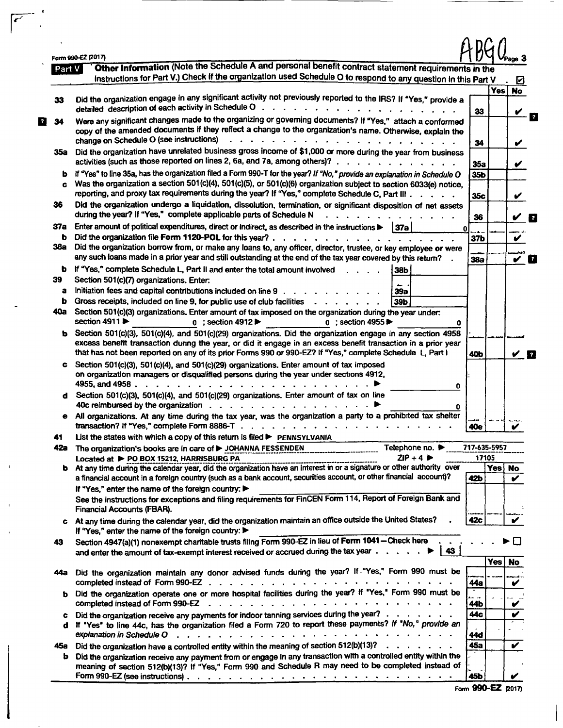|        | Form 990-EZ (2017)                                                                                                                                                                    |              |            | Page 3                     |
|--------|---------------------------------------------------------------------------------------------------------------------------------------------------------------------------------------|--------------|------------|----------------------------|
| Part V | Other Information (Note the Schedule A and personal benefit contract statement requirements in the                                                                                    |              |            |                            |
|        | instructions for Part V.) Check if the organization used Schedule O to respond to any question in this Part V                                                                         |              |            | ☑                          |
|        |                                                                                                                                                                                       |              | <b>Yes</b> | <b>No</b>                  |
| 33     | Did the organization engage in any significant activity not previously reported to the IRS? If "Yes," provide a                                                                       |              |            |                            |
|        | detailed description of each activity in Schedule O.                                                                                                                                  | 33           |            |                            |
| 34     | Were any significant changes made to the organizing or governing documents? If "Yes," attach a conformed                                                                              |              |            |                            |
|        | copy of the amended documents if they reflect a change to the organization's name. Otherwise, explain the                                                                             |              |            |                            |
|        | change on Schedule O (see instructions)                                                                                                                                               | 34           |            | V                          |
| 35а    | Did the organization have unrelated business gross income of \$1,000 or more during the year from business                                                                            |              |            |                            |
|        | activities (such as those reported on lines 2, 6a, and 7a, among others)?.                                                                                                            |              |            |                            |
|        |                                                                                                                                                                                       | 35a          |            | V                          |
| b      | If "Yes" to line 35a, has the organization filed a Form 990-T for the year? If "No," provide an explanation in Schedule O                                                             | 35b          |            |                            |
| c      | Was the organization a section 501(c)(4), 501(c)(5), or 501(c)(6) organization subject to section 6033(e) notice,                                                                     |              |            |                            |
|        | reporting, and proxy tax requirements during the year? If "Yes," complete Schedule C, Part III                                                                                        | 35c          |            | ✔                          |
| 36     | Did the organization undergo a liquidation, dissolution, termination, or significant disposition of net assets                                                                        |              |            |                            |
|        | during the year? If "Yes," complete applicable parts of Schedule N                                                                                                                    | 36           |            | $\boldsymbol{\mathcal{U}}$ |
| 37а    | Enter amount of political expenditures, direct or indirect, as described in the instructions $\blacktriangleright$   37a                                                              |              |            |                            |
|        |                                                                                                                                                                                       | 0            |            |                            |
| b      | Did the organization file Form 1120-POL for this year?.                                                                                                                               | 37b          |            | v                          |
| 38a    | Did the organization borrow from, or make any loans to, any officer, director, trustee, or key employee or were                                                                       |              |            |                            |
|        | any such loans made in a prior year and still outstanding at the end of the tax year covered by this return?                                                                          | <b>38a</b>   |            | $\checkmark$ 0             |
| b      | If "Yes," complete Schedule L, Part II and enter the total amount involved<br>38b                                                                                                     |              |            |                            |
| 39     | Section 501(c)(7) organizations. Enter:                                                                                                                                               |              |            |                            |
| a      | Initiation fees and capital contributions included on line 9<br><b>39a</b>                                                                                                            |              |            |                            |
| b      | Gross receipts, included on line 9, for public use of club facilities<br>39b                                                                                                          |              |            |                            |
| 40a    |                                                                                                                                                                                       |              |            |                            |
|        | Section 501(c)(3) organizations. Enter amount of tax imposed on the organization during the year under:                                                                               |              |            |                            |
|        | section 4911<br>$0$ ; section 4912<br>$0$ : section 4955<br>0                                                                                                                         |              |            |                            |
| ь      | Section 501(c)(3), 501(c)(4), and 501(c)(29) organizations. Did the organization engage in any section 4958                                                                           |              |            |                            |
|        | excess benefit transaction dunng the year, or did it engage in an excess benefit transaction in a prior year                                                                          |              |            |                            |
|        | that has not been reported on any of its prior Forms 990 or 990-EZ? If "Yes," complete Schedule L. Part I                                                                             | 40b          |            | У П                        |
| c      | Section 501(c)(3), 501(c)(4), and 501(c)(29) organizations. Enter amount of tax imposed                                                                                               |              |            |                            |
|        | on organization managers or disqualified persons during the year under sections 4912,                                                                                                 |              |            |                            |
|        | 4955, and 4958.<br>$\frac{1}{2}$ , $\frac{1}{2}$ , $\frac{1}{2}$ , $\frac{1}{2}$ , $\frac{1}{2}$ , $\frac{1}{2}$ , $\frac{1}{2}$ , $\frac{1}{2}$ , $\frac{1}{2}$ , $\frac{1}{2}$<br>0 |              |            |                            |
| d      | Section 501(c)(3), 501(c)(4), and 501(c)(29) organizations. Enter amount of tax on line                                                                                               |              |            |                            |
|        | 40c reimbursed by the organization $\cdots$ $\cdots$ $\cdots$                                                                                                                         |              |            |                            |
|        | o                                                                                                                                                                                     |              |            |                            |
| е      | All organizations. At any time during the tax year, was the organization a party to a prohibited tax shelter                                                                          |              |            |                            |
|        | transaction? If "Yes," complete Form 8886-T.                                                                                                                                          | 40e          |            |                            |
| 41     | List the states with which a copy of this return is filed > PENNSYLVANIA                                                                                                              |              |            |                            |
| 42a    | The organization's books are in care of > JOHANNA FESSENDEN<br>Telephone no. $\blacktriangleright$                                                                                    | 717-635-5957 |            |                            |
|        | $ZIP + 4$<br>Located at > PO BOX 15212, HARRISBURG PA                                                                                                                                 | 17105        |            |                            |
|        | AIP+4 P<br>b At any time during the calendar year, did the organization have an interest in or a signature or other authority over                                                    |              | Yes        | <b>No</b>                  |
|        | a financial account in a foreign country (such as a bank account, securities account, or other financial account)?                                                                    | 42b          |            | ✔                          |
|        | If "Yes," enter the name of the foreign country:                                                                                                                                      |              |            |                            |
|        | See the instructions for exceptions and filing requirements for FinCEN Form 114, Report of Foreign Bank and                                                                           |              |            |                            |
|        | Financial Accounts (FBAR).                                                                                                                                                            |              |            |                            |
|        |                                                                                                                                                                                       |              |            |                            |
| c      | At any time during the calendar year, did the organization maintain an office outside the United States?                                                                              | 42c          |            | ✔                          |
|        | If "Yes," enter the name of the foreign country:                                                                                                                                      |              |            |                            |
| 43     | Section 4947(a)(1) nonexempt charitable trusts filing Form 990-EZ in lieu of Form 1041-Check here                                                                                     |              |            |                            |
|        | 43<br>and enter the amount of tax-exempt interest received or accrued during the tax year $\dots$ , $\dots$                                                                           |              |            |                            |
|        |                                                                                                                                                                                       |              | Yes        | <b>No</b>                  |
| 44а    | Did the organization maintain any donor advised funds during the year? If . "Yes," Form 990 must be                                                                                   |              |            |                            |
|        |                                                                                                                                                                                       | 44a          |            | V                          |
| b      | Did the organization operate one or more hospital facilities during the year? If "Yes," Form 990 must be                                                                              |              |            |                            |
|        | completed instead of Form 990-EZ                                                                                                                                                      | 44b          |            |                            |
|        |                                                                                                                                                                                       |              |            |                            |
| c      | Did the organization receive any payments for indoor tanning services during the year?                                                                                                | 44c          |            | ✔                          |
| d      | If "Yes" to line 44c, has the organization filed a Form 720 to report these payments? If "No," provide an                                                                             |              |            |                            |
|        | والمتواط والمتعارف والمتعارف والمتعارف والمتعارف والمتواط والمتواط والمتعارض<br>explanation in Schedule O                                                                             | 44đ          |            |                            |
|        |                                                                                                                                                                                       | 45a          |            | V                          |
| 45a    |                                                                                                                                                                                       |              |            |                            |
| ь      | Did the organization have a controlled entity within the meaning of section 512(b)(13)? $\ldots$ $\ldots$                                                                             |              |            |                            |
|        | Did the organization receive any payment from or engage in any transaction with a controlled entity within the                                                                        |              |            |                            |
|        | meaning of section 512(b)(13)? If "Yes," Form 990 and Schedule R may need to be completed instead of                                                                                  | 45b          |            |                            |

 $\sqrt{2}$ 

 $\mathcal{A}$ 

 $\bar{\phantom{a}}$ 

 $\begin{array}{c} \n\end{array}$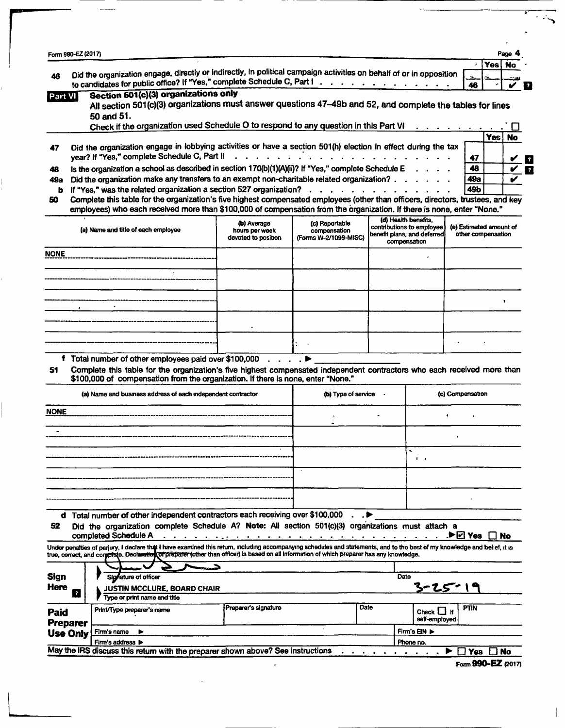| Form 990-EZ (2017)                                                                     |                                                                                                                                                                                                                                                                                                                          |                                                      |                                                                                                                                                                                                                                |   |                                                                                                  |                                               |     | Page |
|----------------------------------------------------------------------------------------|--------------------------------------------------------------------------------------------------------------------------------------------------------------------------------------------------------------------------------------------------------------------------------------------------------------------------|------------------------------------------------------|--------------------------------------------------------------------------------------------------------------------------------------------------------------------------------------------------------------------------------|---|--------------------------------------------------------------------------------------------------|-----------------------------------------------|-----|------|
|                                                                                        |                                                                                                                                                                                                                                                                                                                          |                                                      |                                                                                                                                                                                                                                |   |                                                                                                  |                                               | Yes | No   |
| 48                                                                                     | Did the organization engage, directly or indirectly, in political campaign activities on behalf of or in opposition<br>to candidates for public office? If "Yes," complete Schedule C, Part I.                                                                                                                           |                                                      |                                                                                                                                                                                                                                |   |                                                                                                  | м.                                            |     |      |
| Part VI                                                                                | Section 501(c)(3) organizations only<br>All section 501(c)(3) organizations must answer questions 47-49b and 52, and complete the tables for lines                                                                                                                                                                       |                                                      |                                                                                                                                                                                                                                |   |                                                                                                  | 46                                            |     |      |
|                                                                                        | 50 and 51.<br>Check if the organization used Schedule O to respond to any question in this Part VI                                                                                                                                                                                                                       |                                                      |                                                                                                                                                                                                                                |   |                                                                                                  |                                               |     |      |
|                                                                                        |                                                                                                                                                                                                                                                                                                                          |                                                      |                                                                                                                                                                                                                                |   |                                                                                                  |                                               | Yes | No   |
|                                                                                        | Did the organization engage in lobbying activities or have a section 501(h) election in effect during the tax<br>year? If "Yes," complete Schedule C, Part II                                                                                                                                                            |                                                      | $\mathbf{r}$ , $\mathbf{r}$ , $\mathbf{r}$ , $\mathbf{r}$ , $\mathbf{r}$                                                                                                                                                       |   |                                                                                                  | 47                                            |     |      |
|                                                                                        | Is the organization a school as described in section 170(b)(1)(A)(ii)? If "Yes," complete Schedule E                                                                                                                                                                                                                     |                                                      |                                                                                                                                                                                                                                |   |                                                                                                  | 48                                            |     |      |
| 49а                                                                                    | Did the organization make any transfers to an exempt non-charitable related organization?                                                                                                                                                                                                                                |                                                      |                                                                                                                                                                                                                                |   |                                                                                                  | 49а                                           |     |      |
| ь                                                                                      | If "Yes," was the related organization a section 527 organization?<br>Complete this table for the organization's five highest compensated employees (other than officers, directors, trustees, and key                                                                                                                   |                                                      |                                                                                                                                                                                                                                |   |                                                                                                  | 49b                                           |     |      |
|                                                                                        | employees) who each received more than \$100,000 of compensation from the organization. If there is none, enter "None."                                                                                                                                                                                                  |                                                      |                                                                                                                                                                                                                                |   |                                                                                                  |                                               |     |      |
|                                                                                        | (a) Name and title of each employee                                                                                                                                                                                                                                                                                      | (b) Average<br>hours per week<br>devoted to position | (c) Reportable<br>compensation<br>(Forms W-2/1099-MISC)                                                                                                                                                                        |   | (d) Health benefits.<br>contributions to employee<br>benefit plans, and deferred<br>compensation | (e) Estimated amount of<br>other compensation |     |      |
| NONE                                                                                   |                                                                                                                                                                                                                                                                                                                          |                                                      |                                                                                                                                                                                                                                |   |                                                                                                  |                                               |     |      |
|                                                                                        |                                                                                                                                                                                                                                                                                                                          |                                                      |                                                                                                                                                                                                                                |   |                                                                                                  |                                               |     |      |
|                                                                                        |                                                                                                                                                                                                                                                                                                                          |                                                      |                                                                                                                                                                                                                                |   |                                                                                                  |                                               |     |      |
|                                                                                        |                                                                                                                                                                                                                                                                                                                          |                                                      |                                                                                                                                                                                                                                |   |                                                                                                  |                                               |     |      |
|                                                                                        |                                                                                                                                                                                                                                                                                                                          |                                                      |                                                                                                                                                                                                                                |   |                                                                                                  |                                               |     |      |
|                                                                                        |                                                                                                                                                                                                                                                                                                                          |                                                      |                                                                                                                                                                                                                                |   |                                                                                                  |                                               |     |      |
|                                                                                        |                                                                                                                                                                                                                                                                                                                          |                                                      |                                                                                                                                                                                                                                |   |                                                                                                  |                                               |     |      |
|                                                                                        | f Total number of other employees paid over \$100,000<br>Complete this table for the organization's five highest compensated independent contractors who each received more than                                                                                                                                         |                                                      |                                                                                                                                                                                                                                |   |                                                                                                  |                                               |     |      |
|                                                                                        | \$100,000 of compensation from the organization. If there is none, enter "None."<br>(a) Name and business address of each independent contractor                                                                                                                                                                         |                                                      | (b) Type of service                                                                                                                                                                                                            |   |                                                                                                  | (c) Compensation                              |     |      |
|                                                                                        |                                                                                                                                                                                                                                                                                                                          |                                                      |                                                                                                                                                                                                                                |   |                                                                                                  |                                               |     |      |
|                                                                                        |                                                                                                                                                                                                                                                                                                                          |                                                      |                                                                                                                                                                                                                                |   |                                                                                                  |                                               |     |      |
|                                                                                        |                                                                                                                                                                                                                                                                                                                          |                                                      |                                                                                                                                                                                                                                |   |                                                                                                  |                                               |     |      |
|                                                                                        |                                                                                                                                                                                                                                                                                                                          |                                                      |                                                                                                                                                                                                                                |   |                                                                                                  |                                               |     |      |
|                                                                                        |                                                                                                                                                                                                                                                                                                                          |                                                      |                                                                                                                                                                                                                                |   | $\mathbf{I}$                                                                                     |                                               |     |      |
|                                                                                        |                                                                                                                                                                                                                                                                                                                          |                                                      |                                                                                                                                                                                                                                |   |                                                                                                  |                                               |     |      |
|                                                                                        |                                                                                                                                                                                                                                                                                                                          |                                                      |                                                                                                                                                                                                                                |   |                                                                                                  |                                               |     |      |
|                                                                                        |                                                                                                                                                                                                                                                                                                                          |                                                      |                                                                                                                                                                                                                                |   |                                                                                                  |                                               |     |      |
|                                                                                        | d Total number of other independent contractors each receiving over \$100,000                                                                                                                                                                                                                                            |                                                      |                                                                                                                                                                                                                                | ▶ |                                                                                                  |                                               |     |      |
|                                                                                        | Did the organization complete Schedule A? Note: All section 501(c)(3) organizations must attach a                                                                                                                                                                                                                        |                                                      |                                                                                                                                                                                                                                |   |                                                                                                  |                                               |     |      |
|                                                                                        | completed Schedule A                                                                                                                                                                                                                                                                                                     |                                                      | a constitution of the contract of the contract of the contract of the contract of the contract of the contract of the contract of the contract of the contract of the contract of the contract of the contract of the contract |   |                                                                                                  | $\blacktriangleright \boxdot$ Yes $\Box$ No   |     |      |
|                                                                                        | Under penalties of parjury, I declare that I have examined this return, including accompanying schedules and statements, and to the best of my knowledge and belief, it is<br>true, correct, and compisio. Declaration of preparer (other than officer) is based on all information of which preparer has any knowledge. |                                                      |                                                                                                                                                                                                                                |   |                                                                                                  |                                               |     |      |
|                                                                                        |                                                                                                                                                                                                                                                                                                                          |                                                      |                                                                                                                                                                                                                                |   |                                                                                                  |                                               |     |      |
|                                                                                        | Signature of officer                                                                                                                                                                                                                                                                                                     |                                                      |                                                                                                                                                                                                                                |   | Date                                                                                             |                                               |     |      |
| $\overline{z}$                                                                         | <b>JUSTIN MCCLURE, BOARD CHAIR</b><br>Type or print name and title                                                                                                                                                                                                                                                       |                                                      |                                                                                                                                                                                                                                |   | 3-25 " 1                                                                                         |                                               |     |      |
|                                                                                        | Print/Type preparer's name                                                                                                                                                                                                                                                                                               | Preparer's signature                                 | <b>Date</b>                                                                                                                                                                                                                    |   | Check LI If<br>self-employed                                                                     | <b>PTIN</b>                                   |     |      |
| <b>NONE</b><br>52<br><b>Sign</b><br>Here<br>Paid<br><b>Preparer</b><br><b>Use Only</b> | Firm's name<br>▶                                                                                                                                                                                                                                                                                                         |                                                      | $\cdot$                                                                                                                                                                                                                        |   | Firm's EIN ▶<br>Phone no.                                                                        |                                               |     |      |

l

 $\mathbf{I}$ 

 $\overline{\mathcal{L}}$ 

▼

Fonn 99O-EZ (2017)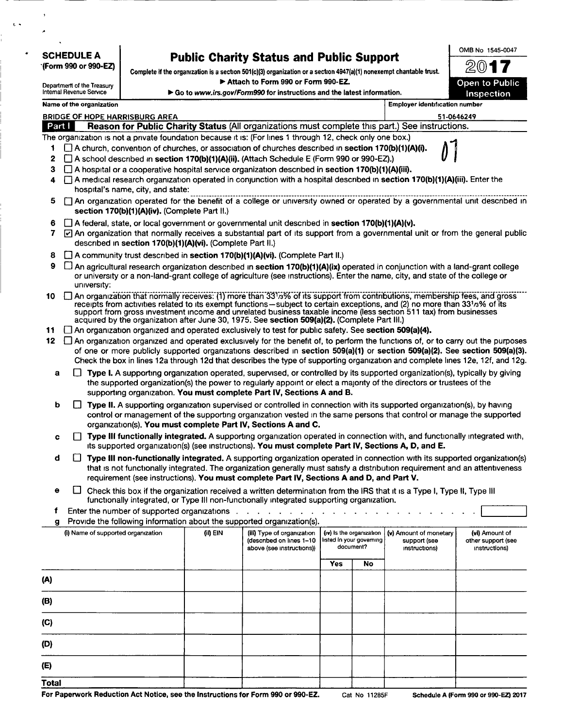| <b>SCHEDULE A</b> |  |
|-------------------|--|
|-------------------|--|

| <b>Public Charity Status and Public Support</b> |  |
|-------------------------------------------------|--|
|-------------------------------------------------|--|

\*(Form 990 or 990-EZ) Complete if the organization is a section 501(c)(3) organization or a section 4947(a)(1) nonexempt chantable trust.

| Name of the organization |  |
|--------------------------|--|
|--------------------------|--|

|        | Department of the Treasury            | Attach to Form 990 or Form 990-EZ.                                                                                                                                                                                                                                                                                                                                                                                                                                            |                                                                        |                                       | Open to Public |  |  |  |  |  |
|--------|---------------------------------------|-------------------------------------------------------------------------------------------------------------------------------------------------------------------------------------------------------------------------------------------------------------------------------------------------------------------------------------------------------------------------------------------------------------------------------------------------------------------------------|------------------------------------------------------------------------|---------------------------------------|----------------|--|--|--|--|--|
|        | Internal Revenue Service              |                                                                                                                                                                                                                                                                                                                                                                                                                                                                               | Go to www.irs.gov/Form990 for instructions and the latest information. |                                       |                |  |  |  |  |  |
|        | Name of the organization              |                                                                                                                                                                                                                                                                                                                                                                                                                                                                               |                                                                        | <b>Employer identification number</b> |                |  |  |  |  |  |
|        | <b>BRIDGE OF HOPE HARRISBURG AREA</b> |                                                                                                                                                                                                                                                                                                                                                                                                                                                                               |                                                                        |                                       | 51-0646249     |  |  |  |  |  |
| Part I |                                       | Reason for Public Charity Status (All organizations must complete this part.) See instructions.                                                                                                                                                                                                                                                                                                                                                                               |                                                                        |                                       |                |  |  |  |  |  |
|        |                                       | The organization is not a private foundation because it is: (For lines 1 through 12, check only one box.)                                                                                                                                                                                                                                                                                                                                                                     |                                                                        |                                       |                |  |  |  |  |  |
| 1      |                                       | A church, convention of churches, or association of churches described in section 170(b)(1)(A)(i).                                                                                                                                                                                                                                                                                                                                                                            |                                                                        |                                       |                |  |  |  |  |  |
| 2      |                                       | A school described in section 170(b)(1)(A)(ii). (Attach Schedule E (Form 990 or 990-EZ).)                                                                                                                                                                                                                                                                                                                                                                                     |                                                                        |                                       |                |  |  |  |  |  |
| з      |                                       | A hospital or a cooperative hospital service organization described in section 170(b)(1)(A)(iii).                                                                                                                                                                                                                                                                                                                                                                             |                                                                        |                                       |                |  |  |  |  |  |
| 4      |                                       | A medical research organization operated in conjunction with a hospital described in section 170(b)(1)(A)(iii). Enter the<br>hospital's name, city, and state:                                                                                                                                                                                                                                                                                                                |                                                                        |                                       |                |  |  |  |  |  |
| 5      |                                       | An organization operated for the benefit of a college or university owned or operated by a governmental unit described in                                                                                                                                                                                                                                                                                                                                                     |                                                                        |                                       |                |  |  |  |  |  |
|        |                                       | section 170(b)(1)(A)(iv). (Complete Part II.)                                                                                                                                                                                                                                                                                                                                                                                                                                 |                                                                        |                                       |                |  |  |  |  |  |
| 6      |                                       | $\Box$ A federal, state, or local government or governmental unit described in section 170(b)(1)(A)(v).                                                                                                                                                                                                                                                                                                                                                                       |                                                                        |                                       |                |  |  |  |  |  |
| 7      |                                       | [v] An organization that normally receives a substantial part of its support from a governmental unit or from the general public<br>described in section 170(b)(1)(A)(vi). (Complete Part II.)                                                                                                                                                                                                                                                                                |                                                                        |                                       |                |  |  |  |  |  |
| 8      |                                       | A community trust described in section 170(b)(1)(A)(vi). (Complete Part II.)                                                                                                                                                                                                                                                                                                                                                                                                  |                                                                        |                                       |                |  |  |  |  |  |
| 9      |                                       | $\Box$ An agricultural research organization described in section 170(b)(1)(A)(ix) operated in conjunction with a land-grant college                                                                                                                                                                                                                                                                                                                                          |                                                                        |                                       |                |  |  |  |  |  |
|        |                                       | or university or a non-land-grant college of agriculture (see instructions). Enter the name, city, and state of the college or                                                                                                                                                                                                                                                                                                                                                |                                                                        |                                       |                |  |  |  |  |  |
|        | university:                           |                                                                                                                                                                                                                                                                                                                                                                                                                                                                               |                                                                        |                                       |                |  |  |  |  |  |
| 10     |                                       | An organization that normally receives: (1) more than 331/3% of its support from contributions, membership fees, and gross<br>receipts from activities related to its exempt functions-subject to certain exceptions, and (2) no more than 331a% of its<br>support from gross investment income and unrelated business taxable income (less section 511 tax) from businesses<br>acquired by the organization after June 30, 1975. See section 509(a)(2). (Complete Part III.) |                                                                        |                                       |                |  |  |  |  |  |
| 11     |                                       | $\Box$ An organization organized and operated exclusively to test for public safety. See section 509(a)(4).                                                                                                                                                                                                                                                                                                                                                                   |                                                                        |                                       |                |  |  |  |  |  |
| 12     |                                       | An organization organized and operated exclusively for the benefit of, to perform the functions of, or to carry out the purposes                                                                                                                                                                                                                                                                                                                                              |                                                                        |                                       |                |  |  |  |  |  |
|        |                                       | of one or more publicly supported organizations described in section 509(a)(1) or section 509(a)(2). See section 509(a)(3).<br>Check the box in lines 12a through 12d that describes the type of supporting organization and complete lines 12e, 12f, and 12g.                                                                                                                                                                                                                |                                                                        |                                       |                |  |  |  |  |  |
| a      |                                       | Type I. A supporting organization operated, supervised, or controlled by its supported organization(s), typically by giving<br>the supported organization(s) the power to regularly appoint or elect a majority of the directors or trustees of the<br>supporting organization. You must complete Part IV, Sections A and B.                                                                                                                                                  |                                                                        |                                       |                |  |  |  |  |  |
| b      |                                       | Type II. A supporting organization supervised or controlled in connection with its supported organization(s), by having<br>control or management of the supporting organization vested in the same persons that control or manage the supported<br>organization(s). You must complete Part IV, Sections A and C.                                                                                                                                                              |                                                                        |                                       |                |  |  |  |  |  |
| c      |                                       | Type III functionally integrated. A supporting organization operated in connection with, and functionally integrated with,<br>its supported organization(s) (see instructions). You must complete Part IV, Sections A, D, and E.                                                                                                                                                                                                                                              |                                                                        |                                       |                |  |  |  |  |  |
| d      |                                       | Type III non-functionally integrated. A supporting organization operated in connection with its supported organization(s)<br>that is not functionally integrated. The organization generally must satisfy a distribution requirement and an attentiveness<br>requirement (see instructions). You must complete Part IV, Sections A and D, and Part V.                                                                                                                         |                                                                        |                                       |                |  |  |  |  |  |
|        |                                       | $\Box$ of the distribution of the state of the distribution of the distribution $\tau$ to $\tau$ to $\tau$ to $\pi$                                                                                                                                                                                                                                                                                                                                                           |                                                                        |                                       |                |  |  |  |  |  |

- □ Check this box if the organization received a written determination from the IRS that it is a Type I, Type II, Type III functionally integrated, or Type III non-functionally integrated supporting organization.
- Enter the number of supported organizations . . . . . . . . . . . . . .  $\mathbf f$
- g Provide the following information about the supported organization(s).

| -<br>(i) Name of supported organization | . .<br>(ii) EIN | . .<br>(iii) Type of organization<br>(described on lines 1-10<br>above (see instructions)) |            | (iv) is the organization<br>Isted in your governing<br>document? | (v) Amount of monetary<br>support (see<br>instructions) | (vi) Amount of<br>other support (see<br>instructions) |
|-----------------------------------------|-----------------|--------------------------------------------------------------------------------------------|------------|------------------------------------------------------------------|---------------------------------------------------------|-------------------------------------------------------|
|                                         |                 |                                                                                            | <b>Yes</b> | No                                                               |                                                         |                                                       |
| (A)                                     |                 |                                                                                            |            |                                                                  |                                                         |                                                       |
| (B)                                     |                 |                                                                                            |            |                                                                  |                                                         |                                                       |
| (C)                                     |                 |                                                                                            |            |                                                                  |                                                         |                                                       |
| (D)                                     |                 |                                                                                            |            |                                                                  |                                                         |                                                       |
| (E)                                     |                 |                                                                                            |            |                                                                  |                                                         |                                                       |
| <b>Total</b>                            |                 |                                                                                            |            |                                                                  |                                                         |                                                       |

 $\ddot{\phantom{a}}$ J. OMB No 1545-0047

20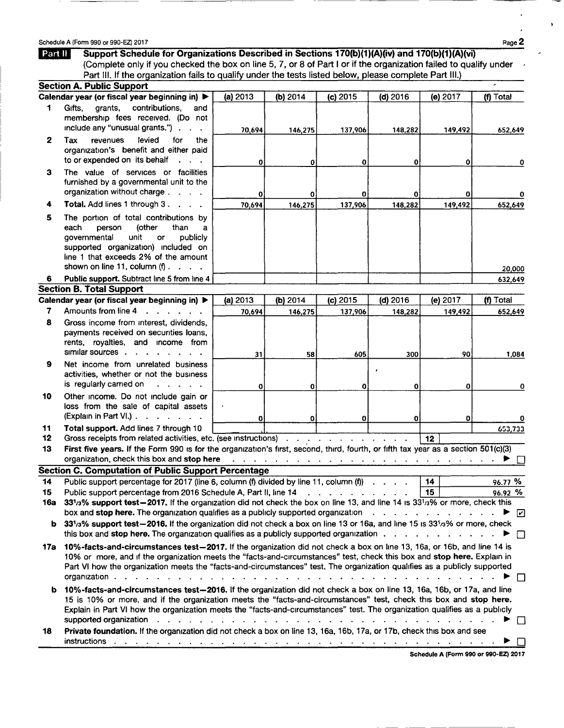|                 | Schedule A (Form 990 or 990-EZ) 2017                                                                                                                                                                                                        |              |              |            |          |          | Page 2    |
|-----------------|---------------------------------------------------------------------------------------------------------------------------------------------------------------------------------------------------------------------------------------------|--------------|--------------|------------|----------|----------|-----------|
| Part II         | Support Schedule for Organizations Described in Sections 170(b)(1)(A)(iv) and 170(b)(1)(A)(vi)                                                                                                                                              |              |              |            |          |          |           |
|                 | (Complete only if you checked the box on line 5, 7, or 8 of Part I or if the organization failed to qualify under                                                                                                                           |              |              |            |          |          |           |
|                 | Part III. If the organization fails to qualify under the tests listed below, please complete Part III.)                                                                                                                                     |              |              |            |          |          |           |
|                 | <b>Section A. Public Support</b>                                                                                                                                                                                                            |              |              |            |          |          |           |
| 1               | Calendar year (or fiscal year beginning in) ▶                                                                                                                                                                                               | (a) 2013     | (b) 2014     | (c) 2015   | (d) 2016 | (e) 2017 | (f) Total |
|                 | grants,<br>contributions.<br>Gifts.<br>and<br>membership fees received. (Do not<br>include any "unusual grants.").<br>$\sim$ $\sim$                                                                                                         | 70,694       | 146,275      | 137,906    | 148,282  | 149,492  | 652,649   |
| $\mathbf{2}$    | levied<br>for<br>Tax<br>revenues<br>the<br>organization's benefit and either paid<br>to or expended on its behalf                                                                                                                           | 0            | 0            | 0          | 0        | 0        | 0         |
| з               | The value of services or facilities<br>furnished by a governmental unit to the<br>organization without charge                                                                                                                               |              |              | 0          | 0        | 0        |           |
| 4               | Total. Add lines 1 through 3.                                                                                                                                                                                                               | 0<br>70.694  | 0<br>146,275 | 137,906    | 148,282  | 149,492  | 652,649   |
| 5               | The portion of total contributions by<br>(other<br>each<br>person<br>than<br>a<br>unit<br>governmental<br>publicly<br>or<br>supported organization) included on<br>line 1 that exceeds 2% of the amount<br>shown on line 11, column $(f)$ . |              |              |            |          |          |           |
|                 |                                                                                                                                                                                                                                             |              |              |            |          |          | 20,000    |
| 6               | Public support. Subtract line 5 from line 4<br><b>Section B. Total Support</b>                                                                                                                                                              |              |              |            |          |          | 632,649   |
|                 | Calendar year (or fiscal year beginning in) ▶                                                                                                                                                                                               | (a) 2013     | (b) $2014$   | $(c)$ 2015 | (d) 2016 | (e) 2017 | (f) Total |
| 7               | Amounts from line 4<br>$\mathbf{r}$ , $\mathbf{r}$ , $\mathbf{r}$ , $\mathbf{r}$                                                                                                                                                            | 70.694       | 146,275      | 137,906    | 148,282  | 149,492  | 652,649   |
| 8               | Gross income from interest, dividends,<br>payments received on securities loans,<br>rents, royalties, and income from<br>similar sources                                                                                                    | 31           | 58           | 605        | 300      | 90       | 1,084     |
| 9               | Net income from unrelated business<br>activities, whether or not the business<br>is regularly carried on<br>$\mathbf{r}$ , $\mathbf{r}$ , $\mathbf{r}$ , $\mathbf{r}$ , $\mathbf{r}$                                                        | $\mathbf 0$  | 0            | 0          | 0        | 0        | 0         |
| 10              | Other income. Do not include gain or<br>loss from the sale of capital assets<br>(Explain in Part VI.)                                                                                                                                       | $\mathbf{0}$ | 0            | 0          | O        | 0        | 0         |
| 11              | Total support. Add lines 7 through 10                                                                                                                                                                                                       |              |              |            |          |          | 653,733   |
| 12 <sub>2</sub> | Gross receipts from related activities, etc. (see instructions)                                                                                                                                                                             |              |              |            |          | 12       |           |
| 13              | First five years. If the Form 990 is for the organization's first, second, third, fourth, or fifth tax year as a section 501(c)(3)                                                                                                          |              |              |            |          |          |           |
|                 | <b>Section C. Computation of Public Support Percentage</b>                                                                                                                                                                                  |              |              |            |          |          |           |
| 14              | Public support percentage for 2017 (line 6, column (f) divided by line 11, column (f)                                                                                                                                                       |              |              |            |          | 14       | 96.77 %   |
| 15              | Public support percentage from 2016 Schedule A. Part II. June 14                                                                                                                                                                            |              |              |            |          | 15.      | as an %   |

|     | There is appointed by contage for zone (interest), colored by available $\mathbf{y}$ interest), colored (i) $\mathbf{y} = \mathbf{y} = \mathbf{y} = \mathbf{y}$                                                                                                                                                                                                                                       |      | 70. <i>il i</i> v |  |
|-----|-------------------------------------------------------------------------------------------------------------------------------------------------------------------------------------------------------------------------------------------------------------------------------------------------------------------------------------------------------------------------------------------------------|------|-------------------|--|
| 15  | Public support percentage from 2016 Schedule A, Part II, line 14                                                                                                                                                                                                                                                                                                                                      | l 15 | 96.92 %           |  |
| 16а | 331/3% support test-2017. If the organization did not check the box on line 13, and line 14 is 331/3% or more, check this<br>box and stop here. The organization qualifies as a publicly supported organization $\blacktriangleright \boxed{\mathcal{C}}$                                                                                                                                             |      |                   |  |
|     | b 33 <sup>1</sup> /3% support test-2016. If the organization did not check a box on line 13 or 16a, and line 15 is 33 <sup>1</sup> /3% or more, check                                                                                                                                                                                                                                                 |      |                   |  |
| 17а | 10%-facts-and-circumstances test-2017. If the organization did not check a box on line 13, 16a, or 16b, and line 14 is<br>10% or more, and if the organization meets the "facts-and-circumstances" test, check this box and stop here. Explain in<br>Part VI how the organization meets the "facts-and-circumstances" test. The organization qualifies as a publicly supported<br>organization.       |      |                   |  |
|     | b 10%-facts-and-circumstances test-2016. If the organization did not check a box on line 13, 16a, 16b, or 17a, and line<br>15 is 10% or more, and if the organization meets the "facts-and-circumstances" test, check this box and stop here.<br>Explain in Part VI how the organization meets the "facts-and-circumstances" test. The organization qualifies as a publicly<br>supported organization |      |                   |  |

| 18 Private foundation. If the organization did not check a box on line 13, 16a, 16b, 17a, or 17b, check this box and see |  |  |  |  |  |  |  |  |  |  |  |  |  |
|--------------------------------------------------------------------------------------------------------------------------|--|--|--|--|--|--|--|--|--|--|--|--|--|
|                                                                                                                          |  |  |  |  |  |  |  |  |  |  |  |  |  |

Schedule A (Form 990 or 990-EZ) 2017

--- -------

 $\cdot$ 

 $\lambda$ 

 $\bullet$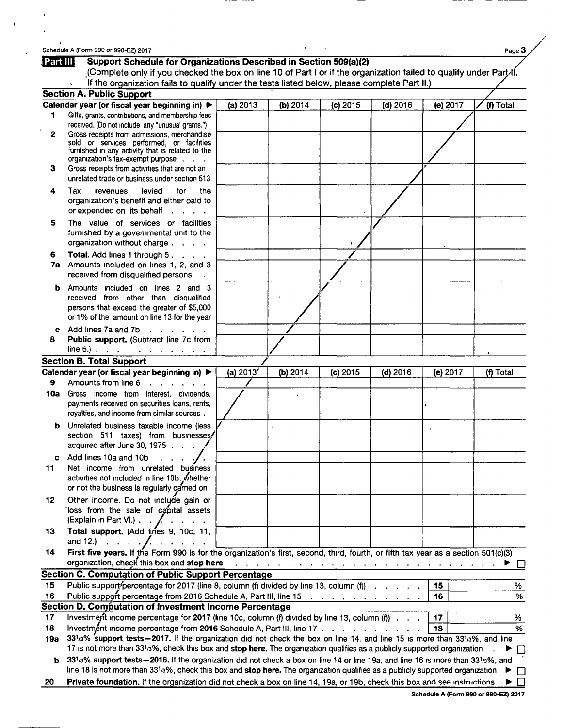# Schedule A (Form 990 or 990-EZ) 2017 Page 3

**Part III** 

|     | (Complete only if you checked the box on line 10 of Part I or if the organization failed to qualify under Part-II.                 |             |          |            |                                                                                                                                                                                                                                |          |           |
|-----|------------------------------------------------------------------------------------------------------------------------------------|-------------|----------|------------|--------------------------------------------------------------------------------------------------------------------------------------------------------------------------------------------------------------------------------|----------|-----------|
|     | If the organization fails to qualify under the tests listed below, please complete Part II.)                                       |             |          |            |                                                                                                                                                                                                                                |          |           |
|     | <b>Section A. Public Support</b>                                                                                                   |             |          |            |                                                                                                                                                                                                                                |          |           |
| 1   | Calendar year (or fiscal year beginning in) ▶<br>Gifts, grants, contributions, and membership fees                                 | (a) 2013    | (b) 2014 | (c) 2015   | $(d)$ 2016                                                                                                                                                                                                                     | (e) 2017 | (f) Total |
|     | received. (Do not include any "unusual grants.")                                                                                   |             |          |            |                                                                                                                                                                                                                                |          |           |
| 2   | Gross receipts from admissions, merchandise                                                                                        |             |          |            |                                                                                                                                                                                                                                |          |           |
|     | sold or services performed, or facilities                                                                                          |             |          |            |                                                                                                                                                                                                                                |          |           |
|     | furnished in any activity that is related to the<br>organization's tax-exempt purpose                                              |             |          |            |                                                                                                                                                                                                                                |          |           |
| з   | Gross receipts from activities that are not an                                                                                     |             |          |            |                                                                                                                                                                                                                                |          |           |
|     | unrelated trade or business under section 513                                                                                      |             |          |            |                                                                                                                                                                                                                                |          |           |
| 4   | Tax<br>levied<br>the<br>revenues<br>for                                                                                            |             |          |            |                                                                                                                                                                                                                                |          |           |
|     | organization's benefit and either paid to                                                                                          |             |          |            |                                                                                                                                                                                                                                |          |           |
|     | or expended on its behalf<br><b>Contractor</b>                                                                                     |             |          |            |                                                                                                                                                                                                                                |          |           |
| 5   | The value of services or facilities                                                                                                |             |          |            |                                                                                                                                                                                                                                |          |           |
|     | furnished by a governmental unit to the                                                                                            |             |          |            |                                                                                                                                                                                                                                |          |           |
|     | organization without charge                                                                                                        |             |          |            |                                                                                                                                                                                                                                |          |           |
| 6   | Total. Add lines 1 through 5.                                                                                                      |             |          |            |                                                                                                                                                                                                                                |          |           |
|     | 7a Amounts included on lines 1, 2, and 3                                                                                           |             |          |            |                                                                                                                                                                                                                                |          |           |
|     | received from disqualified persons                                                                                                 |             |          |            |                                                                                                                                                                                                                                |          |           |
| b   | Amounts included on lines 2 and 3                                                                                                  |             |          |            |                                                                                                                                                                                                                                |          |           |
|     | received from other than disqualified                                                                                              |             |          |            |                                                                                                                                                                                                                                |          |           |
|     | persons that exceed the greater of \$5,000                                                                                         |             |          |            |                                                                                                                                                                                                                                |          |           |
|     | or 1% of the amount on line 13 for the year                                                                                        |             |          |            |                                                                                                                                                                                                                                |          |           |
| c.  | Add lines 7a and 7b<br>$\mathbf{r}$ , $\mathbf{r}$ , $\mathbf{r}$ , $\mathbf{r}$ , $\mathbf{r}$                                    |             |          |            |                                                                                                                                                                                                                                |          |           |
| 8   | Public support. (Subtract line 7c from                                                                                             |             |          |            |                                                                                                                                                                                                                                |          |           |
|     | $line 6$ . $\therefore$ $\therefore$ $\therefore$ $\therefore$ $\therefore$ $\therefore$ $\therefore$ $\therefore$                 |             |          |            |                                                                                                                                                                                                                                |          |           |
|     | <b>Section B. Total Support</b>                                                                                                    |             |          |            |                                                                                                                                                                                                                                |          |           |
|     | Calendar year (or fiscal year beginning in) ▶                                                                                      | (a) $2013'$ | (b) 2014 | $(c)$ 2015 | $(d)$ 2016                                                                                                                                                                                                                     | (e) 2017 | (f) Total |
| 9   | Amounts from line 6<br>$\mathbf{r}$ , $\mathbf{r}$ , $\mathbf{r}$ , $\mathbf{r}$ , $\mathbf{r}$                                    |             |          |            |                                                                                                                                                                                                                                |          |           |
| 10a | Gross income from interest, dividends,                                                                                             |             |          |            |                                                                                                                                                                                                                                |          |           |
|     | payments received on securities loans, rents,                                                                                      |             |          |            |                                                                                                                                                                                                                                |          |           |
|     | royalties, and income from similar sources.                                                                                        |             |          |            |                                                                                                                                                                                                                                |          |           |
| b   | Unrelated business taxable income (less                                                                                            |             |          |            |                                                                                                                                                                                                                                |          |           |
|     | section 511 taxes) from businesses/<br>acquired after June 30, 1975                                                                |             |          |            |                                                                                                                                                                                                                                |          |           |
|     |                                                                                                                                    |             |          |            |                                                                                                                                                                                                                                |          |           |
|     | c Add lines 10a and 10b<br>$\cdots$                                                                                                |             |          |            |                                                                                                                                                                                                                                |          |           |
| 11  | Net income from unrelated business<br>activities not included in line 10b, whether                                                 |             |          |            |                                                                                                                                                                                                                                |          |           |
|     | or not the business is regularly carned on                                                                                         |             |          |            |                                                                                                                                                                                                                                |          |           |
|     |                                                                                                                                    |             |          |            |                                                                                                                                                                                                                                |          |           |
| 12  | Other income. Do not include gain or<br>loss from the sale of capital assets                                                       |             |          |            |                                                                                                                                                                                                                                |          |           |
|     | (Explain in Part VI.) /                                                                                                            |             |          |            |                                                                                                                                                                                                                                |          |           |
| 13  | Total support. (Add lines 9, 10c, 11,                                                                                              |             |          |            |                                                                                                                                                                                                                                |          |           |
|     | and 12.) $\cdots$ $\cdots$                                                                                                         |             |          |            |                                                                                                                                                                                                                                |          |           |
| 14  | First five years. If the Form 990 is for the organization's first, second, third, fourth, or fifth tax year as a section 501(c)(3) |             |          |            |                                                                                                                                                                                                                                |          |           |
|     | organization, check this box and stop here                                                                                         |             |          |            | and a complete the complete state of the complete state of the complete state of the complete state of the complete state of the complete state of the complete state of the complete state of the complete state of the compl |          |           |
|     | <b>Section C. Computation of Public Support Percentage</b>                                                                         |             |          |            |                                                                                                                                                                                                                                |          |           |
| 15  | Public support percentage for 2017 (line 8, column (f) divided by line 13, column (f)                                              |             |          |            |                                                                                                                                                                                                                                | 15       | %         |
| 16  | Public support percentage from 2016 Schedule A, Part III, line 15                                                                  |             |          |            |                                                                                                                                                                                                                                | 16       | %         |
|     | Section D. Computation of Investment Income Percentage                                                                             |             |          |            |                                                                                                                                                                                                                                |          |           |
| 17  | Investment income percentage for 2017 (line 10c, column (f) divided by line 13, column (f) $\cdots$                                |             |          |            |                                                                                                                                                                                                                                | 17       | %         |
| 18  | Investmént income percentage from 2016 Schedule A, Part III, line 17                                                               |             |          |            |                                                                                                                                                                                                                                | 18       | %         |
| 19a | 331/3% support tests - 2017. If the organization did not check the box on line 14, and line 15 is more than 331/3%, and line       |             |          |            |                                                                                                                                                                                                                                |          |           |
|     | 17 is not more than 331/3%, check this box and stop here. The organization qualifies as a publicly supported organization          |             |          |            |                                                                                                                                                                                                                                |          | $\perp$   |

|  |  | 20 Private foundation. If the organization did not check a box on line 14, 19a, or 19b, check this box and see instructions $\blacktriangleright \Box$ |  |
|--|--|--------------------------------------------------------------------------------------------------------------------------------------------------------|--|
|--|--|--------------------------------------------------------------------------------------------------------------------------------------------------------|--|

| m 990 or 990-EZ) 2017                                                    |  |  |
|--------------------------------------------------------------------------|--|--|
| <b>Support Schedule for Organizations Described in Section 509(a)(2)</b> |  |  |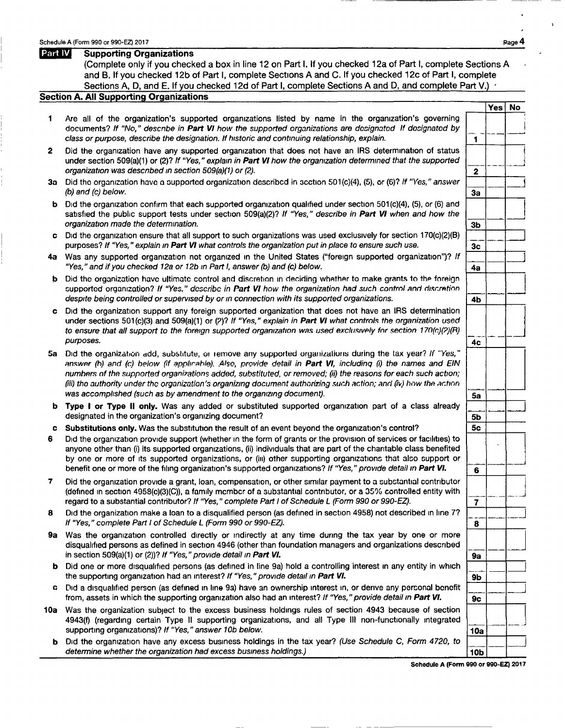Schedule A (Form 990 or 990-EZ) 2017<br>**Part IV** Supporting Organizations (Complete only if you checked a box in line 12 on Part I. If you checked 12a of Part I, complete Sections A and B. If you checked 12b of Part I, complete Sections A and C. If you checked 12c of Part I, complete Sections A, D, and E. If you checked 12d of Part I, complete Sections A and D, and complete Part V.)  $\leq$ 

#### Section A. All Supporting Organizations

- 1 Are all of the organization's supported organizations listed by name In the organization's governing <sup>j</sup> documents? If "No," describe in Part VI how the supported organizations are dosignatod If dosignatod by  $\begin{array}{|l|} \hline \end{array}$  -  $\begin{array}{|l|} \hline \end{array}$ class or purpose, describe the designation. If historic and continuing relationship, explain.
- 2 Did the organization have any supported organization that does not have an IRS determination of status under section 509(a)(1) or (2)? If "Yes," explain in **Part VI** how the organization determined that the supported  $\overline{\hspace{1cm}}$  2 organization was described in section 509(a)(1) or (2).
- 3a Did the organization have a supported organization described in section 501(c)(4), (5), or (6)? If "Yes," answer  $\frac{1}{3a}$  $(b)$  and  $(c)$  below.
- $b$  Did the organization confirm that each supported organization qualified under section 501 $(c)(4)$ ,  $(5)$ , or  $(6)$  and organization made the determination. satisfied the publiC support that each supported organization qualified under section 501(c)(4), (5), or (6) and<br>tests under section 509(a)(2)? If "Yes," describe in **Part VI** when and how the  $\begin{bmatrix} 3b \end{bmatrix}$
- c Did the organization ensure that all support to such organizations was used exclusively for section purposes? If "Yes," explain in **Part VI** what controls the organization put in place to ensure such use. 170(c)(2)(B)  $\frac{36}{3c}$
- purposes? If "Yes," explain in **Part VI** what controls the organization put in place to ensure such use.<br>4a Was any supported organization not organized in the United States ("foreign supported organization")? If  $\frac{1}{4a}$ "Yes," and if you checked 12a or 12b in Part I, answer (b) and (c) below.
- **b** Did the organization have ultimate control and discretion in deciding whether to make grants to the foreign despite being controlled or supervised by or in connection with its supported organizations. supported organization? If "Yes," describe in Part VI how the organization had .,uch c.")ntml ;mri ril ... r:ff'!tinn --
- despite being controlled or supervised by or in connection with its supported organizations.<br> **c** Did the organization support any foreign supported organization that does not have an IRS determination under sections 501( to ensure that all support to the foreign supported organization was used exclusively for section 170 $(c)(2)(R)$
- answer (h) and (c) below (if applicable). Also, provide detail in **Part VI**, including (i) the names and EIN numbers of the supported organizations added, substituted, or removed; (ii) the reasons for each such action; (i numhers of the supported organizations added, substituted, or removed; (ii) the reasons for each such action; (iii) tho authority under the organization's organizing document authorizing such action; and (iv) how the action
- **b Type I or Type II only.** Was any added or substituted supported organization part of a class already  $\begin{bmatrix} 5b \end{bmatrix}$ designated in the organization's organizing document?
- c Substitutions only. Was the substitution the result of an event beyond the organization's control?  $\vert$  5c
- 6 Did the organization provide support (whether in the form of grants or the provision of services or facilities) to<br>anyone other than (i) its supported organizations, (ii) individuals that are part of the charitable clas by one or more of its supported organizations, or (iii) other supporting organizations that also support or
- 7 Did the organization provide a grant, loan, compensation, or other similar payment to a substantial contributor (defined in section 4958(c)(3)(C)), a family mcmbcr of a substantial contributor, or a 35% controlled entity with  $\begin{array}{|c|c|c|c|}\n\hline\n\end{array}$  regard to a substantial contributor? If "Yes," complete Part I of Schedule L (F
- <sup>8</sup>Did the organization make a loan to a disqualified person (as defined in section 4958) not described In line 7? .--J ----- If "Yes, " complete Part I of Schedule L (Form 990 or 990-EZ). <sup>8</sup>
- 9a Was the organization controlled directly or indirectly at any time during the tax year by one or more in section 509(a)(1) or (2))? If "Yes," provide detail in Part VI. disqualified persons as defined in section 4946 (other than any time during the tax year by one or more<br>foundation managers and organizations described<br>foundation managers and organizations described
- in section 509(a)(1) or (2))? If "Yes," provide detail in **Part VI.**<br>b Did one or more disqualified persons (as defined in line 9a) hold a controlling interest in any entity in which  $\frac{1}{\sqrt{2}}$ the supporting organization had an interest? If "Yes," provide detail in Part VI.
- the supporting organization had an interest? *i* res, provide detail in Fart VI.<br>C Did a disqualified person (as defined in line 9a) have an ownership interest in, or derive any personal benefit<br>from, assets in which the
- 10a Was the organization subject to the excess business holdings rules of section 4943 because of section 4943(f) (regarding certain Type II supporting organizations, and all Type III non-functionally integrated | --<br>supporting organizations)? If "Yes," answer 10b below.
	- **b** Did the organization have any excess business holdings in the tax year? (Use Schedule C, Form 4720, to determine whether the organization had excess business holdings.)

Yes | No

---~

3b --<sup>~</sup>

 $\frac{1}{4b}$   $\frac{1}{4b}$ 

9a --<sup>~</sup>

Schedule A (Form 990 or 990-EZ) 2017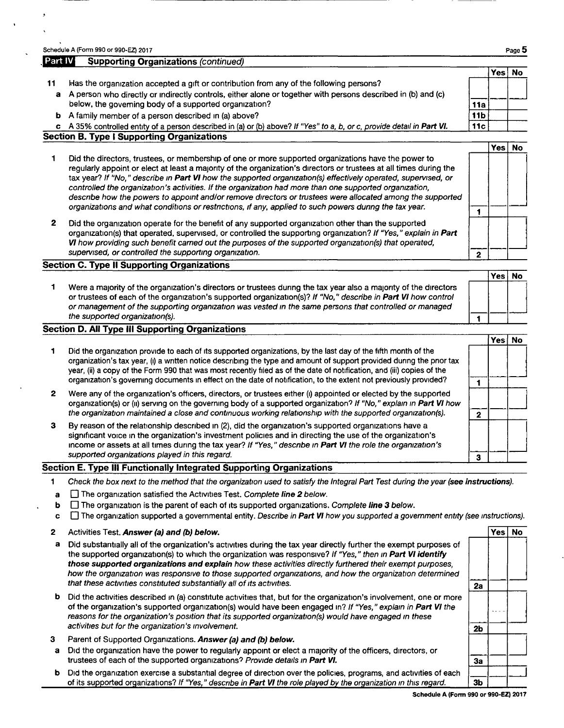|         | Schedule A (Form 990 or 990-EZ) 2017                                                                                                                                                                                                                                                                                                                                                                                                                                                                                                                                                                                                                                         |                 |          | Page 5    |
|---------|------------------------------------------------------------------------------------------------------------------------------------------------------------------------------------------------------------------------------------------------------------------------------------------------------------------------------------------------------------------------------------------------------------------------------------------------------------------------------------------------------------------------------------------------------------------------------------------------------------------------------------------------------------------------------|-----------------|----------|-----------|
| Part IV | <b>Supporting Organizations (continued)</b>                                                                                                                                                                                                                                                                                                                                                                                                                                                                                                                                                                                                                                  |                 |          |           |
|         |                                                                                                                                                                                                                                                                                                                                                                                                                                                                                                                                                                                                                                                                              |                 | Yes No   |           |
| 11      | Has the organization accepted a gift or contribution from any of the following persons?                                                                                                                                                                                                                                                                                                                                                                                                                                                                                                                                                                                      |                 |          |           |
| a       | A person who directly or indirectly controls, either alone or together with persons described in (b) and (c)                                                                                                                                                                                                                                                                                                                                                                                                                                                                                                                                                                 |                 |          |           |
|         | below, the governing body of a supported organization?                                                                                                                                                                                                                                                                                                                                                                                                                                                                                                                                                                                                                       | 11a             |          |           |
| b       | A family member of a person described in (a) above?                                                                                                                                                                                                                                                                                                                                                                                                                                                                                                                                                                                                                          | 11 <sub>b</sub> |          |           |
| c.      | A 35% controlled entity of a person described in (a) or (b) above? If "Yes" to a, b, or c, provide detail in Part VI.                                                                                                                                                                                                                                                                                                                                                                                                                                                                                                                                                        | 11c             |          |           |
|         | <b>Section B. Type I Supporting Organizations</b>                                                                                                                                                                                                                                                                                                                                                                                                                                                                                                                                                                                                                            |                 |          |           |
|         |                                                                                                                                                                                                                                                                                                                                                                                                                                                                                                                                                                                                                                                                              |                 | Yes l    | <b>No</b> |
|         | Did the directors, trustees, or membership of one or more supported organizations have the power to<br>regularly appoint or elect at least a majority of the organization's directors or trustees at all times during the<br>tax year? If "No," describe in Part VI how the supported organization(s) effectively operated, supervised, or<br>controlled the organization's activities. If the organization had more than one supported organization,<br>describe how the powers to appoint and/or remove directors or trustees were allocated among the supported<br>organizations and what conditions or restrictions, if any, applied to such powers during the tax year. |                 |          |           |
| 2       | Did the organization operate for the benefit of any supported organization other than the supported<br>organization(s) that operated, supervised, or controlled the supporting organization? If "Yes," explain in Part<br><b>VI</b> how providing such benefit carned out the purposes of the supported organization(s) that operated,<br>supervised, or controlled the supporting organization.                                                                                                                                                                                                                                                                             | $\mathbf{2}$    |          |           |
|         | <b>Section C. Type II Supporting Organizations</b>                                                                                                                                                                                                                                                                                                                                                                                                                                                                                                                                                                                                                           |                 |          |           |
|         |                                                                                                                                                                                                                                                                                                                                                                                                                                                                                                                                                                                                                                                                              |                 | Yes   No |           |
|         | Were a majority of the organization's directors or trustees during the tax year also a majority of the directors<br>or trustees of each of the organization's supported organization(s)? If "No," describe in Part VI how control<br>or management of the supporting organization was vested in the same persons that controlled or managed<br>the supported organization(s).                                                                                                                                                                                                                                                                                                |                 |          |           |

### Section D. All Type III Supporting Organizations

---------------------

|   |                                                                                                                                                                                                                                                                                                                                                                                                                                                                                       | Yes ∣ | No |
|---|---------------------------------------------------------------------------------------------------------------------------------------------------------------------------------------------------------------------------------------------------------------------------------------------------------------------------------------------------------------------------------------------------------------------------------------------------------------------------------------|-------|----|
|   | Did the organization provide to each of its supported organizations, by the last day of the fifth month of the<br>organization's tax year, (i) a written notice describing the type and amount of support provided during the prior tax<br>year, (ii) a copy of the Form 990 that was most recently filed as of the date of notification, and (iii) copies of the<br>organization's governing documents in effect on the date of notification, to the extent not previously provided? |       |    |
| 2 | Were any of the organization's officers, directors, or trustees either (i) appointed or elected by the supported<br>organization(s) or (ii) serving on the governing body of a supported organization? If "No," explain in Part VI how<br>the organization maintained a close and continuous working relationship with the supported organization(s).                                                                                                                                 |       |    |
| 3 | By reason of the relationship described in (2), did the organization's supported organizations have a<br>significant voice in the organization's investment policies and in directing the use of the organization's<br>income or assets at all times during the tax year? If "Yes," describe in Part VI the role the organization's                                                                                                                                                   |       |    |
|   | supported organizations played in this regard.                                                                                                                                                                                                                                                                                                                                                                                                                                        |       |    |

## Section E. Type III Functionally Integrated Supporting Organizations

- 1 Check the box next to the method that the organization used to satisfy the Integral Part Test during the year (see instructions).
- a  $\Box$  The organization satisfied the Activities Test. Complete line 2 below.
- **b**  $\Box$  The organization is the parent of each of its supported organizations. Complete line 3 below.
- $c \Box$  The organization supported a governmental entity. Describe in Part VI how you supported a government entity (see instructions).
- 2 Activities Test. Answer (a) and (b) below. Yes No and the Second Second Second Second Second Second Second Second Second Second Second Second Second Second Second Second Second Second Second Second Second Second Second S
- a Did substantially all of the organization's activities during the tax year directly further the exempt purposes of<br>the supported organization(s) to which the organization was responsive? If "Yes," then in **Part VI identi** those supported organizations and explain how these activities directly furthered their exempt purposes, those supported organizations and explain now these activities directly furthered their exempt purposes,<br>how the organization was responsive to those supported organizations, and how the organization determined<br>that these
- **b** Did the activities described in (a) constitute activities that, but for the organization's involvement, one or more of the organization's supported organization(s) would have been engaged in? If "Yes," explain in **Part** or the organization's supported organization(s) would have been engaged in Fig. 18 Fexplain in Part VI the<br>reasons for the organization's position that its supported organization(s) would have engaged in these **1998**
- 3 Parent of Supported Organizations. Answer (a) and (b) below.
- a Did the organization have the power to regularly appoint or elect a majority trustees of each of the supported organizations? Provide details in Part VI. of the officers, directors, or  $\begin{array}{|c|c|} \hline \ \multicolumn{1}{|c|}{3a} \end{array}$
- trustees of each of the supported organizations? Provide details in **Part VI.**<br> **b** Did the organization exercise a substantial degree of direction over the policies, programs, and activities of each  $\overline{\phantom{a}}$  of its sup of its supported organizations? If "Yes," describe in Part VI the role played by the organization in this regard.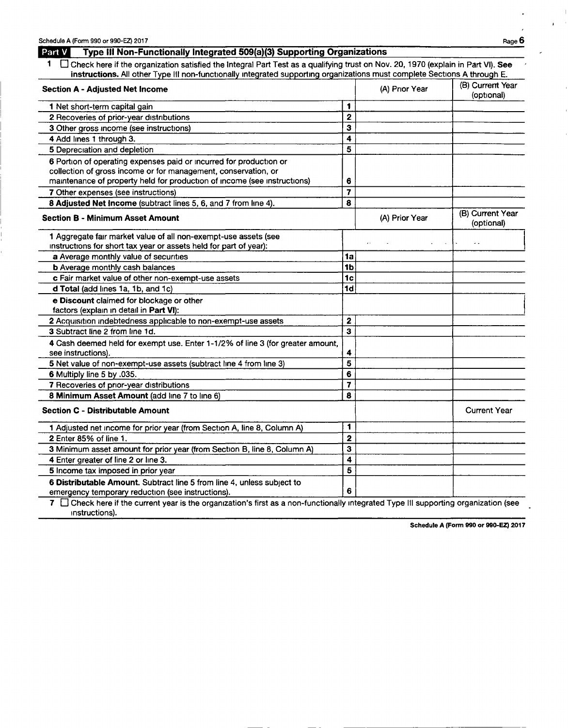Instructions).

# **Part V** Type III Non-Functionally Integrated 509(a)(3) Supporting Organizations

1  $\Box$  Check here if the organization satisfied the Integral Part Test as a qualifying trust on Nov. 20, 1970 (explain in Part VI). See instructions. All other Type III non-functionally integrated supporting organizations must complete Sections A through E.

| <b>Section A - Adjusted Net Income</b>                                                                                               |                         | (A) Prior Year | (B) Current Year<br>(optional) |
|--------------------------------------------------------------------------------------------------------------------------------------|-------------------------|----------------|--------------------------------|
| 1 Net short-term capital gain                                                                                                        | 1                       |                |                                |
| 2 Recoveries of prior-year distributions                                                                                             | $\overline{2}$          |                |                                |
| 3 Other gross income (see instructions)                                                                                              | 3                       |                |                                |
| 4 Add lines 1 through 3.                                                                                                             | 4                       |                |                                |
| 5 Depreciation and depletion                                                                                                         | 5                       |                |                                |
| 6 Portion of operating expenses paid or incurred for production or                                                                   |                         |                |                                |
| collection of gross income or for management, conservation, or                                                                       |                         |                |                                |
| maintenance of property held for production of income (see instructions)                                                             | 6                       |                |                                |
| 7 Other expenses (see instructions)                                                                                                  | $\overline{\mathbf{z}}$ |                |                                |
| 8 Adjusted Net Income (subtract lines 5, 6, and 7 from line 4).                                                                      | 8                       |                |                                |
| <b>Section B - Minimum Asset Amount</b>                                                                                              |                         | (A) Prior Year | (B) Current Year<br>(optional) |
| 1 Aggregate fair market value of all non-exempt-use assets (see<br>instructions for short tax year or assets held for part of year): |                         |                |                                |
| a Average monthly value of securities                                                                                                | 1a                      |                |                                |
| <b>b</b> Average monthly cash balances                                                                                               | 1 <sub>b</sub>          |                |                                |
| c Fair market value of other non-exempt-use assets                                                                                   | 1 <sub>c</sub>          |                |                                |
| d Total (add lines 1a, 1b, and 1c)                                                                                                   | 1d                      |                |                                |
| e Discount claimed for blockage or other<br>factors (explain in detail in Part VI):                                                  |                         |                |                                |
| 2 Acquisition indebtedness applicable to non-exempt-use assets                                                                       | $\mathbf{2}$            |                |                                |
| 3 Subtract line 2 from line 1d.                                                                                                      | $\overline{\mathbf{3}}$ |                |                                |
| 4 Cash deemed held for exempt use. Enter 1-1/2% of line 3 (for greater amount,<br>see instructions).                                 | 4                       |                |                                |
| 5 Net value of non-exempt-use assets (subtract line 4 from line 3)                                                                   | 5                       |                |                                |
| 6 Multiply line 5 by .035.                                                                                                           | 6                       |                |                                |
| 7 Recoveries of prior-year distributions                                                                                             | 7                       |                |                                |
| 8 Minimum Asset Amount (add line 7 to line 6)                                                                                        | 8                       |                |                                |
| <b>Section C - Distributable Amount</b>                                                                                              |                         |                | <b>Current Year</b>            |
| 1 Adjusted net income for prior year (from Section A, line 8, Column A)                                                              | 1                       |                |                                |
| 2 Enter 85% of line 1.                                                                                                               | 2                       |                |                                |
| 3 Minimum asset amount for prior year (from Section B, line 8, Column A)                                                             | 3                       |                |                                |
| 4 Enter greater of line 2 or line 3.                                                                                                 | 4                       |                |                                |
| 5 Income tax imposed in prior year                                                                                                   | 5                       |                |                                |
| 6 Distributable Amount. Subtract line 5 from line 4, unless subject to                                                               |                         |                |                                |
| emergency temporary reduction (see instructions).                                                                                    |                         |                |                                |
| 7 Check here if the current year is the organization's first as a non-functionally integrated Type III supporting organization (see  |                         |                |                                |

Schedule A (Form 990 or 990-EZ) 2017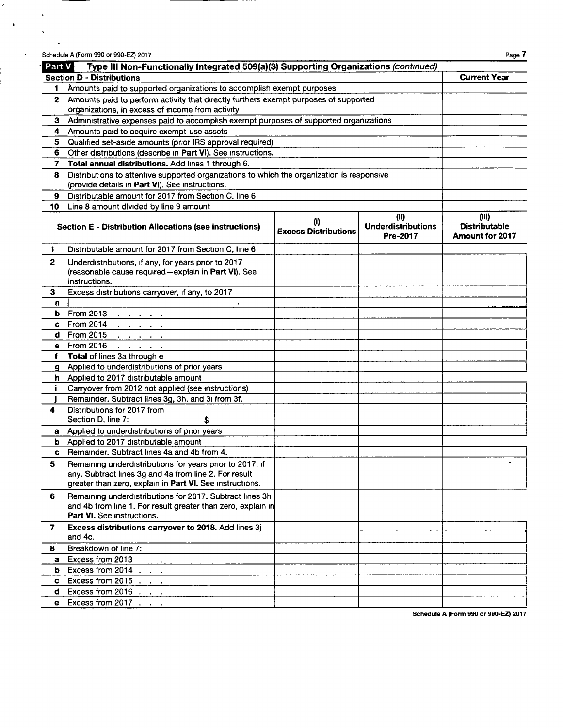| Part V       | Type III Non-Functionally Integrated 509(a)(3) Supporting Organizations (continued)                                                                                                    |                                    |                                               |                                                  |
|--------------|----------------------------------------------------------------------------------------------------------------------------------------------------------------------------------------|------------------------------------|-----------------------------------------------|--------------------------------------------------|
|              | <b>Section D - Distributions</b>                                                                                                                                                       |                                    |                                               | <b>Current Year</b>                              |
|              | 1 Amounts paid to supported organizations to accomplish exempt purposes                                                                                                                |                                    |                                               |                                                  |
|              | 2 Amounts paid to perform activity that directly furthers exempt purposes of supported                                                                                                 |                                    |                                               |                                                  |
|              | organizations, in excess of income from activity                                                                                                                                       |                                    |                                               |                                                  |
| 3            | Administrative expenses paid to accomplish exempt purposes of supported organizations                                                                                                  |                                    |                                               |                                                  |
| 4            | Amounts paid to acquire exempt-use assets                                                                                                                                              |                                    |                                               |                                                  |
| 5.           | Qualified set-aside amounts (prior IRS approval required)                                                                                                                              |                                    |                                               |                                                  |
| 6.           | Other distributions (describe in Part VI). See instructions.                                                                                                                           |                                    |                                               |                                                  |
| 7.           | Total annual distributions. Add lines 1 through 6.                                                                                                                                     |                                    |                                               |                                                  |
| 8            | Distributions to attentive supported organizations to which the organization is responsive<br>(provide details in Part VI). See instructions.                                          |                                    |                                               |                                                  |
| 9.           | Distributable amount for 2017 from Section C, line 6                                                                                                                                   |                                    |                                               |                                                  |
| 10           | Line 8 amount divided by line 9 amount                                                                                                                                                 |                                    |                                               |                                                  |
|              | <b>Section E - Distribution Allocations (see instructions)</b>                                                                                                                         | (i)<br><b>Excess Distributions</b> | (ii)<br><b>Underdistributions</b><br>Pre-2017 | (iii)<br><b>Distributable</b><br>Amount for 2017 |
| 1            | Distributable amount for 2017 from Section C, line 6                                                                                                                                   |                                    |                                               |                                                  |
| 2            | Underdistributions, if any, for years prior to 2017<br>(reasonable cause required-explain in Part VI). See<br>instructions.                                                            |                                    |                                               |                                                  |
| 3            | Excess distributions carryover, if any, to 2017                                                                                                                                        |                                    |                                               |                                                  |
| n            |                                                                                                                                                                                        |                                    |                                               |                                                  |
| ь            | From 2013<br>$\mathbf{u} = \mathbf{u} + \mathbf{u} + \mathbf{u} + \mathbf{u}$ .                                                                                                        |                                    |                                               |                                                  |
|              | $c$ From 2014<br>$\mathbf{1}^{\prime}$ , $\mathbf{1}^{\prime}$ , $\mathbf{1}^{\prime}$ , $\mathbf{1}^{\prime}$ , $\mathbf{1}^{\prime}$ , $\mathbf{1}^{\prime}$ , $\mathbf{1}^{\prime}$ |                                    |                                               |                                                  |
|              | d From 2015<br>$\mathbf{r}=\mathbf{r}+\mathbf{r}+\mathbf{r}+\mathbf{r}$                                                                                                                |                                    |                                               |                                                  |
|              | e From 2016<br>and a state of                                                                                                                                                          |                                    |                                               |                                                  |
| f            | Total of lines 3a through e                                                                                                                                                            |                                    |                                               |                                                  |
|              | g Applied to underdistributions of prior years                                                                                                                                         |                                    |                                               |                                                  |
|              | h Applied to 2017 distributable amount                                                                                                                                                 |                                    |                                               |                                                  |
|              | Carryover from 2012 not applied (see instructions)                                                                                                                                     |                                    |                                               |                                                  |
|              | Remainder. Subtract lines 3g, 3h, and 3i from 3f.                                                                                                                                      |                                    |                                               |                                                  |
|              | Distributions for 2017 from                                                                                                                                                            |                                    |                                               |                                                  |
|              | Section D, line 7:<br>\$                                                                                                                                                               |                                    |                                               |                                                  |
| а            | Applied to underdistributions of prior years                                                                                                                                           |                                    |                                               |                                                  |
| b            | Applied to 2017 distributable amount                                                                                                                                                   |                                    |                                               |                                                  |
| $\mathbf{c}$ | Remainder, Subtract lines 4a and 4b from 4.                                                                                                                                            |                                    |                                               |                                                  |
| 5            | Remaining underdistributions for years prior to 2017, if<br>any. Subtract lines 3g and 4a from line 2. For result<br>greater than zero, explain in Part VI. See instructions.          |                                    |                                               |                                                  |
| 6            | Remaining underdistributions for 2017. Subtract lines 3h<br>and 4b from line 1. For result greater than zero, explain in<br><b>Part VI.</b> See instructions.                          |                                    |                                               |                                                  |
| 7            | Excess distributions carryover to 2018. Add lines 3j<br>and 4c.                                                                                                                        |                                    | $\omega$ . $\omega$                           | . .                                              |
| 8.           | Breakdown of line 7:                                                                                                                                                                   |                                    |                                               |                                                  |
| a            | Excess from 2013                                                                                                                                                                       |                                    |                                               |                                                  |
| b.           | Excess from 2014                                                                                                                                                                       |                                    |                                               |                                                  |
| c            | Excess from 2015                                                                                                                                                                       |                                    |                                               |                                                  |
| d            | Excess from 2016                                                                                                                                                                       |                                    |                                               |                                                  |
| е            | Excess from 2017                                                                                                                                                                       |                                    |                                               |                                                  |

 $\epsilon$ 

 $\ddot{\phantom{0}}$ 

 $\hat{\mathcal{A}}$ 

 $\langle \cdot \rangle$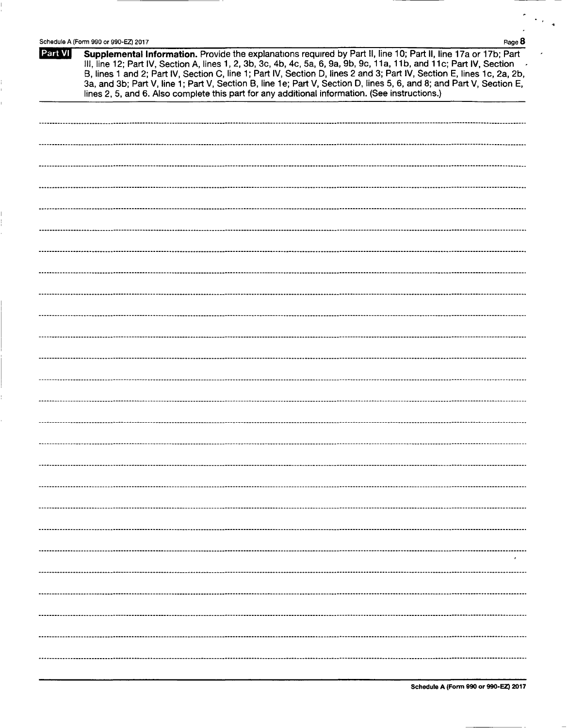|         | Schedule A (Form 990 or 990-EZ) 2017<br>Page 8                                                                                                                                                                                                                                                                                                                                                                                                                                                                                                                                              |
|---------|---------------------------------------------------------------------------------------------------------------------------------------------------------------------------------------------------------------------------------------------------------------------------------------------------------------------------------------------------------------------------------------------------------------------------------------------------------------------------------------------------------------------------------------------------------------------------------------------|
| Part VI | Supplemental Information. Provide the explanations required by Part II, line 10; Part II, line 17a or 17b; Part<br>III, line 12; Part IV, Section A, lines 1, 2, 3b, 3c, 4b, 4c, 5a, 6, 9a, 9b, 9c, 11a, 11b, and 11c; Part IV, Section<br>B, lines 1 and 2; Part IV, Section C, line 1; Part IV, Section D, lines 2 and 3; Part IV, Section E, lines 1c, 2a, 2b,<br>3a, and 3b; Part V, line 1; Part V, Section B, line 1e; Part V, Section D, lines 5, 6, and 8; and Part V, Section E,<br>lines 2, 5, and 6. Also complete this part for any additional information. (See instructions.) |
|         |                                                                                                                                                                                                                                                                                                                                                                                                                                                                                                                                                                                             |
|         |                                                                                                                                                                                                                                                                                                                                                                                                                                                                                                                                                                                             |
|         |                                                                                                                                                                                                                                                                                                                                                                                                                                                                                                                                                                                             |
|         |                                                                                                                                                                                                                                                                                                                                                                                                                                                                                                                                                                                             |
|         |                                                                                                                                                                                                                                                                                                                                                                                                                                                                                                                                                                                             |
|         |                                                                                                                                                                                                                                                                                                                                                                                                                                                                                                                                                                                             |
|         |                                                                                                                                                                                                                                                                                                                                                                                                                                                                                                                                                                                             |
|         |                                                                                                                                                                                                                                                                                                                                                                                                                                                                                                                                                                                             |
|         |                                                                                                                                                                                                                                                                                                                                                                                                                                                                                                                                                                                             |
|         |                                                                                                                                                                                                                                                                                                                                                                                                                                                                                                                                                                                             |
|         |                                                                                                                                                                                                                                                                                                                                                                                                                                                                                                                                                                                             |
|         |                                                                                                                                                                                                                                                                                                                                                                                                                                                                                                                                                                                             |
|         |                                                                                                                                                                                                                                                                                                                                                                                                                                                                                                                                                                                             |
|         |                                                                                                                                                                                                                                                                                                                                                                                                                                                                                                                                                                                             |
|         |                                                                                                                                                                                                                                                                                                                                                                                                                                                                                                                                                                                             |
|         |                                                                                                                                                                                                                                                                                                                                                                                                                                                                                                                                                                                             |
|         |                                                                                                                                                                                                                                                                                                                                                                                                                                                                                                                                                                                             |
|         |                                                                                                                                                                                                                                                                                                                                                                                                                                                                                                                                                                                             |
|         |                                                                                                                                                                                                                                                                                                                                                                                                                                                                                                                                                                                             |
|         |                                                                                                                                                                                                                                                                                                                                                                                                                                                                                                                                                                                             |
|         |                                                                                                                                                                                                                                                                                                                                                                                                                                                                                                                                                                                             |
|         |                                                                                                                                                                                                                                                                                                                                                                                                                                                                                                                                                                                             |
|         |                                                                                                                                                                                                                                                                                                                                                                                                                                                                                                                                                                                             |
|         |                                                                                                                                                                                                                                                                                                                                                                                                                                                                                                                                                                                             |
|         |                                                                                                                                                                                                                                                                                                                                                                                                                                                                                                                                                                                             |
|         | $\cdot$                                                                                                                                                                                                                                                                                                                                                                                                                                                                                                                                                                                     |
|         |                                                                                                                                                                                                                                                                                                                                                                                                                                                                                                                                                                                             |
|         |                                                                                                                                                                                                                                                                                                                                                                                                                                                                                                                                                                                             |
|         |                                                                                                                                                                                                                                                                                                                                                                                                                                                                                                                                                                                             |
|         |                                                                                                                                                                                                                                                                                                                                                                                                                                                                                                                                                                                             |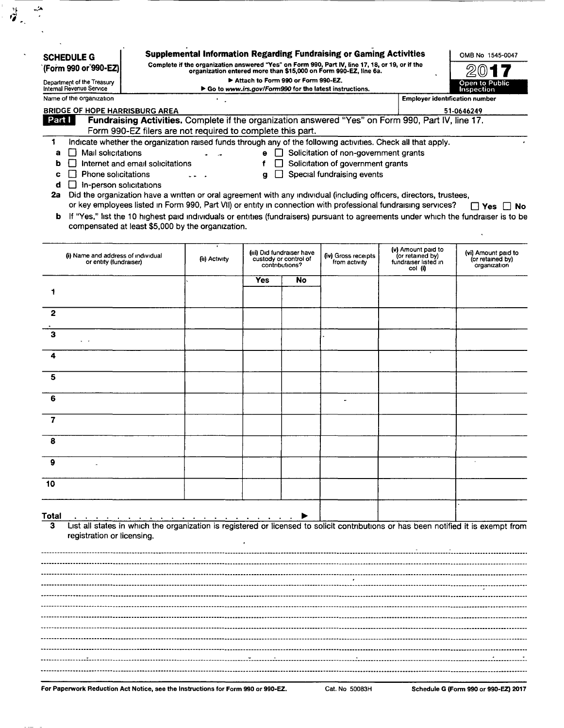| <b>BRIDGE OF HOPE HARRISBURG AREA</b><br>Fundraising Activities. Complete if the organization answered "Yes" on Form 990, Part IV, line 17.<br>Form 990-EZ filers are not required to complete this part.<br>Indicate whether the organization raised funds through any of the following activities. Check all that apply.<br>Mail solicitations<br>Internet and email solicitations<br><b>Phone solicitations</b><br>$\Box$ In-person solicitations<br>Did the organization have a written or oral agreement with any individual (including officers, directors, trustees, |                                                                                            |            |     |                                                                      |                                                                           | 51-0646249                                                                                                                          |
|-----------------------------------------------------------------------------------------------------------------------------------------------------------------------------------------------------------------------------------------------------------------------------------------------------------------------------------------------------------------------------------------------------------------------------------------------------------------------------------------------------------------------------------------------------------------------------|--------------------------------------------------------------------------------------------|------------|-----|----------------------------------------------------------------------|---------------------------------------------------------------------------|-------------------------------------------------------------------------------------------------------------------------------------|
|                                                                                                                                                                                                                                                                                                                                                                                                                                                                                                                                                                             |                                                                                            |            |     |                                                                      |                                                                           |                                                                                                                                     |
|                                                                                                                                                                                                                                                                                                                                                                                                                                                                                                                                                                             |                                                                                            |            |     |                                                                      |                                                                           |                                                                                                                                     |
|                                                                                                                                                                                                                                                                                                                                                                                                                                                                                                                                                                             |                                                                                            |            |     | e □ Solicitation of non-government grants                            |                                                                           |                                                                                                                                     |
|                                                                                                                                                                                                                                                                                                                                                                                                                                                                                                                                                                             |                                                                                            | f          |     | Solicitation of government grants                                    |                                                                           |                                                                                                                                     |
|                                                                                                                                                                                                                                                                                                                                                                                                                                                                                                                                                                             |                                                                                            | g          | - 1 | Special fundraising events                                           |                                                                           |                                                                                                                                     |
|                                                                                                                                                                                                                                                                                                                                                                                                                                                                                                                                                                             |                                                                                            |            |     |                                                                      |                                                                           |                                                                                                                                     |
| or key employees listed in Form 990, Part VII) or entity in connection with professional fundraising services?<br>b If "Yes," list the 10 highest paid individuals or entities (fundraisers) pursuant to agreements under which the fundraiser is to be<br>compensated at least \$5,000 by the organization.                                                                                                                                                                                                                                                                |                                                                                            |            |     |                                                                      |                                                                           | Π Yes⊣                                                                                                                              |
|                                                                                                                                                                                                                                                                                                                                                                                                                                                                                                                                                                             | (ii) Activity                                                                              |            |     | (iv) Gross receipts<br>from activity                                 | (v) Amount paid to<br>(or retained by)<br>fundraiser listed in<br>col (i) | (vi) Amount paid to<br>(or retained by)<br>organization                                                                             |
|                                                                                                                                                                                                                                                                                                                                                                                                                                                                                                                                                                             |                                                                                            | <b>Yes</b> | No  |                                                                      |                                                                           |                                                                                                                                     |
|                                                                                                                                                                                                                                                                                                                                                                                                                                                                                                                                                                             |                                                                                            |            |     |                                                                      |                                                                           |                                                                                                                                     |
|                                                                                                                                                                                                                                                                                                                                                                                                                                                                                                                                                                             |                                                                                            |            |     |                                                                      |                                                                           |                                                                                                                                     |
|                                                                                                                                                                                                                                                                                                                                                                                                                                                                                                                                                                             |                                                                                            |            |     |                                                                      |                                                                           |                                                                                                                                     |
|                                                                                                                                                                                                                                                                                                                                                                                                                                                                                                                                                                             |                                                                                            |            |     |                                                                      |                                                                           |                                                                                                                                     |
|                                                                                                                                                                                                                                                                                                                                                                                                                                                                                                                                                                             |                                                                                            |            |     |                                                                      |                                                                           |                                                                                                                                     |
|                                                                                                                                                                                                                                                                                                                                                                                                                                                                                                                                                                             |                                                                                            |            |     |                                                                      |                                                                           |                                                                                                                                     |
|                                                                                                                                                                                                                                                                                                                                                                                                                                                                                                                                                                             |                                                                                            |            |     |                                                                      |                                                                           |                                                                                                                                     |
|                                                                                                                                                                                                                                                                                                                                                                                                                                                                                                                                                                             |                                                                                            |            |     |                                                                      |                                                                           |                                                                                                                                     |
|                                                                                                                                                                                                                                                                                                                                                                                                                                                                                                                                                                             |                                                                                            |            |     |                                                                      |                                                                           |                                                                                                                                     |
|                                                                                                                                                                                                                                                                                                                                                                                                                                                                                                                                                                             |                                                                                            |            |     |                                                                      |                                                                           |                                                                                                                                     |
|                                                                                                                                                                                                                                                                                                                                                                                                                                                                                                                                                                             |                                                                                            |            |     |                                                                      |                                                                           |                                                                                                                                     |
|                                                                                                                                                                                                                                                                                                                                                                                                                                                                                                                                                                             |                                                                                            |            |     |                                                                      |                                                                           |                                                                                                                                     |
|                                                                                                                                                                                                                                                                                                                                                                                                                                                                                                                                                                             |                                                                                            |            |     |                                                                      |                                                                           |                                                                                                                                     |
|                                                                                                                                                                                                                                                                                                                                                                                                                                                                                                                                                                             | (i) Name and address of individual<br>or entity (fundraiser)<br>registration or licensing. |            |     | (iii) Did fundraiser have<br>custody or control of<br>contributions? |                                                                           | List all states in which the organization is registered or licensed to solicit contributions or has been notified it is exempt from |

For Paperwork Reduction Act Notice, see the Instructions for Form 990 or 990-EZ. Cat. No 50083H Schedule G (Form 990 or 990-EZ) 2017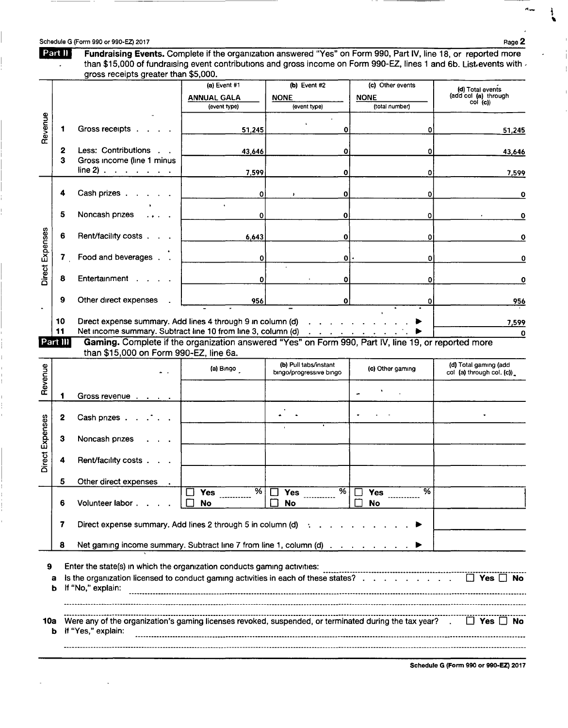ĸ.

 $\overline{\phantom{a}}$ 

 $\ddot{\cdot}$ 

 $\overline{\phantom{a}}$ 

 $\frac{1}{1}$ 

| Part II                 |                                                                                                                                                                                                                                                                                                                    |                                                    |                                                                                                                                                         |                                                                                                                 |                                                      |
|-------------------------|--------------------------------------------------------------------------------------------------------------------------------------------------------------------------------------------------------------------------------------------------------------------------------------------------------------------|----------------------------------------------------|---------------------------------------------------------------------------------------------------------------------------------------------------------|-----------------------------------------------------------------------------------------------------------------|------------------------------------------------------|
|                         | than \$15,000 of fundraising event contributions and gross income on Form 990-EZ, lines 1 and 6b. List events with $\lambda$<br>gross receipts greater than \$5,000.                                                                                                                                               |                                                    |                                                                                                                                                         | Fundraising Events. Complete if the organization answered "Yes" on Form 990, Part IV, line 18, or reported more |                                                      |
|                         |                                                                                                                                                                                                                                                                                                                    | (a) Event #1<br><b>ANNUAL GALA</b><br>(event type) | (b) Event #2<br><b>NONE</b><br>(event type)                                                                                                             | (c) Other events<br><b>NONE</b><br>(total number)                                                               | (d) Total events<br>(add col (a) through<br>col (c)) |
| Revenue                 | Gross receipts.                                                                                                                                                                                                                                                                                                    | 51,245                                             | 0                                                                                                                                                       | ٥                                                                                                               | 51,245                                               |
| 2<br>з                  | Less: Contributions<br>Gross income (line 1 minus                                                                                                                                                                                                                                                                  | 43,646                                             | 0                                                                                                                                                       | ٥                                                                                                               | 43,646                                               |
|                         | $line 2)$                                                                                                                                                                                                                                                                                                          | 7,599                                              | 0                                                                                                                                                       | 0                                                                                                               | 7,599                                                |
|                         | Cash prizes.                                                                                                                                                                                                                                                                                                       | 0                                                  | $\bf{0}$                                                                                                                                                | 0                                                                                                               | 0                                                    |
| 5                       | Noncash prizes                                                                                                                                                                                                                                                                                                     | 0                                                  | 0                                                                                                                                                       | 0                                                                                                               | 0                                                    |
| 6                       | Rent/facility costs                                                                                                                                                                                                                                                                                                | 6,643                                              | 0                                                                                                                                                       | 0                                                                                                               | 0                                                    |
| Direct Expenses<br>7.   | Food and beverages                                                                                                                                                                                                                                                                                                 | 0                                                  | $\mathbf{0}$                                                                                                                                            | 0                                                                                                               | 0                                                    |
| 8<br>9                  | Entertainment<br>Other direct expenses                                                                                                                                                                                                                                                                             | 0<br>956                                           | 0<br>0                                                                                                                                                  | 0<br>0                                                                                                          | 0                                                    |
| 10                      | Direct expense summary. Add lines 4 through 9 in column (d)                                                                                                                                                                                                                                                        |                                                    | $\begin{array}{cccccccccccccc} \bullet & \bullet & \bullet & \bullet & \bullet & \bullet & \bullet & \bullet & \bullet & \bullet & \bullet \end{array}$ |                                                                                                                 | 956<br>7,599                                         |
| 11<br>Part III          | Net income summary. Subtract line 10 from line 3, column (d)<br>Gaming. Complete if the organization answered "Yes" on Form 990, Part IV, line 19, or reported more<br>than \$15,000 on Form 990-EZ, line 6a.                                                                                                      |                                                    | the contract of the contract of the                                                                                                                     |                                                                                                                 | 0                                                    |
| Revenue                 |                                                                                                                                                                                                                                                                                                                    | (a) Bıngo                                          | (b) Pull tabs/instant<br>bingo/progressive bingo                                                                                                        | (c) Other gaming                                                                                                | (d) Total gaming (add<br>col (a) through col. (c))   |
|                         | Gross revenue                                                                                                                                                                                                                                                                                                      |                                                    |                                                                                                                                                         |                                                                                                                 |                                                      |
| 2                       | Cash prizes.                                                                                                                                                                                                                                                                                                       |                                                    |                                                                                                                                                         |                                                                                                                 |                                                      |
| Direct Expenses<br>з    | Noncash prizes                                                                                                                                                                                                                                                                                                     |                                                    |                                                                                                                                                         |                                                                                                                 |                                                      |
| 4                       | Rent/facility costs                                                                                                                                                                                                                                                                                                |                                                    |                                                                                                                                                         |                                                                                                                 |                                                      |
| 5<br>6                  | Other direct expenses<br>Volunteer labor.                                                                                                                                                                                                                                                                          | ळ<br><b>Yes</b><br><b>No</b>                       | $\overline{\%}$<br><b>Yes</b><br>No                                                                                                                     | %<br><b>Yes</b><br>No                                                                                           |                                                      |
| 7                       | Direct expense summary. Add lines 2 through 5 in column (d)                                                                                                                                                                                                                                                        |                                                    |                                                                                                                                                         |                                                                                                                 |                                                      |
| 8                       | Net gaming income summary. Subtract line 7 from line 1, column (d)                                                                                                                                                                                                                                                 |                                                    |                                                                                                                                                         |                                                                                                                 |                                                      |
| 9<br>а<br>b<br>10a<br>b | Enter the state(s) in which the organization conducts gaming activities:<br>Is the organization licensed to conduct gaming activities in each of these states?<br>If "No," explain:<br>Were any of the organization's gaming licenses revoked, suspended, or terminated during the tax year?<br>If "Yes," explain: |                                                    |                                                                                                                                                         |                                                                                                                 | $\Box$ Yes $\Box$ No<br>$\Box$ Yes $\Box$ No         |
|                         |                                                                                                                                                                                                                                                                                                                    |                                                    |                                                                                                                                                         |                                                                                                                 |                                                      |
|                         |                                                                                                                                                                                                                                                                                                                    |                                                    |                                                                                                                                                         |                                                                                                                 | Schedule G (Form 990 or 990-EZ) 2017                 |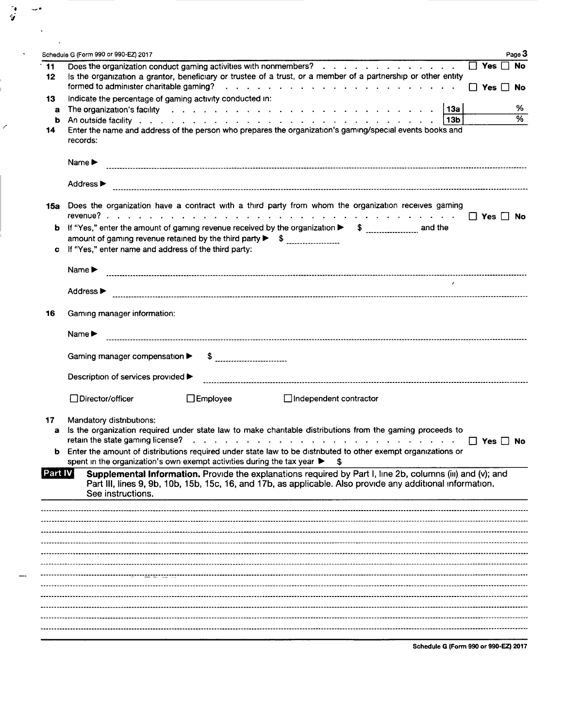|                  | Schedule G (Form 990 or 990-EZ) 2017                                                                                                                                                                                                                                                                                                                                                                                                                                                                                                                                                                                                          |                      |
|------------------|-----------------------------------------------------------------------------------------------------------------------------------------------------------------------------------------------------------------------------------------------------------------------------------------------------------------------------------------------------------------------------------------------------------------------------------------------------------------------------------------------------------------------------------------------------------------------------------------------------------------------------------------------|----------------------|
| $\cdot$ 11<br>12 | Does the organization conduct gaming activities with nonmembers?<br>Is the organization a grantor, beneficiary or trustee of a trust, or a member of a partnership or other entity                                                                                                                                                                                                                                                                                                                                                                                                                                                            | $\Box$ Yes $\Box$ No |
|                  |                                                                                                                                                                                                                                                                                                                                                                                                                                                                                                                                                                                                                                               | $\Box$ Yes $\Box$    |
| 13               | Indicate the percentage of gaming activity conducted in:                                                                                                                                                                                                                                                                                                                                                                                                                                                                                                                                                                                      |                      |
| а                | 13a<br>The organization's facility entering and a series and a series and a series of the organization's facility of the series and a series of the original series of the series of the series of the series of the series of the se                                                                                                                                                                                                                                                                                                                                                                                                         |                      |
| b                | i 13b                                                                                                                                                                                                                                                                                                                                                                                                                                                                                                                                                                                                                                         |                      |
| 14               | Enter the name and address of the person who prepares the organization's gaming/special events books and<br>records:                                                                                                                                                                                                                                                                                                                                                                                                                                                                                                                          |                      |
|                  | Name $\blacktriangleright$                                                                                                                                                                                                                                                                                                                                                                                                                                                                                                                                                                                                                    |                      |
|                  | Address ▶                                                                                                                                                                                                                                                                                                                                                                                                                                                                                                                                                                                                                                     |                      |
|                  | 15a Does the organization have a contract with a third party from whom the organization receives gaming                                                                                                                                                                                                                                                                                                                                                                                                                                                                                                                                       |                      |
|                  | b If "Yes," enter the amount of gaming revenue received by the organization > \$<br>amount of gaming revenue retained by the third party $\triangleright$ \$                                                                                                                                                                                                                                                                                                                                                                                                                                                                                  |                      |
|                  | c If "Yes," enter name and address of the third party:                                                                                                                                                                                                                                                                                                                                                                                                                                                                                                                                                                                        |                      |
|                  | Name $\blacktriangleright$                                                                                                                                                                                                                                                                                                                                                                                                                                                                                                                                                                                                                    |                      |
|                  | Address ▶                                                                                                                                                                                                                                                                                                                                                                                                                                                                                                                                                                                                                                     |                      |
| 16               | Gaming manager information:                                                                                                                                                                                                                                                                                                                                                                                                                                                                                                                                                                                                                   |                      |
|                  | Name $\blacktriangleright$                                                                                                                                                                                                                                                                                                                                                                                                                                                                                                                                                                                                                    |                      |
|                  | Gaming manager compensation ▶<br>$\frac{1}{2}$                                                                                                                                                                                                                                                                                                                                                                                                                                                                                                                                                                                                |                      |
|                  | Description of services provided ▶                                                                                                                                                                                                                                                                                                                                                                                                                                                                                                                                                                                                            |                      |
|                  | □Director/officer<br>$\Box$ Employee<br>$\Box$ Independent contractor                                                                                                                                                                                                                                                                                                                                                                                                                                                                                                                                                                         |                      |
| 17               | Mandatory distributions:                                                                                                                                                                                                                                                                                                                                                                                                                                                                                                                                                                                                                      |                      |
| а                | Is the organization required under state law to make charitable distributions from the gaming proceeds to<br>retain the state gaming license?<br>$\mathcal{L}_{\mathcal{A}}(\mathcal{A}) = \mathcal{L}_{\mathcal{A}}(\mathcal{A}) = \mathcal{L}_{\mathcal{A}}(\mathcal{A}) = \mathcal{L}_{\mathcal{A}}(\mathcal{A}) = \mathcal{L}_{\mathcal{A}}(\mathcal{A}) = \mathcal{L}_{\mathcal{A}}(\mathcal{A}) = \mathcal{L}_{\mathcal{A}}(\mathcal{A}) = \mathcal{L}_{\mathcal{A}}(\mathcal{A}) = \mathcal{L}_{\mathcal{A}}(\mathcal{A}) = \mathcal{L}_{\mathcal{A}}(\mathcal{A}) = \mathcal{L}_{\mathcal{A}}(\mathcal{A}) = \mathcal{L}_{\mathcal{A$ | $\Box$ Yes $\Box$ No |
|                  | <b>b</b> Enter the amount of distributions required under state law to be distributed to other exempt organizations or<br>spent in the organization's own exempt activities during the tax year ><br>S                                                                                                                                                                                                                                                                                                                                                                                                                                        |                      |
| Part IV          | Supplemental Information. Provide the explanations required by Part I, line 2b, columns (iii) and (v); and<br>Part III, lines 9, 9b, 10b, 15b, 15c, 16, and 17b, as applicable. Also provide any additional information.<br>See instructions.                                                                                                                                                                                                                                                                                                                                                                                                 |                      |
|                  |                                                                                                                                                                                                                                                                                                                                                                                                                                                                                                                                                                                                                                               |                      |
|                  |                                                                                                                                                                                                                                                                                                                                                                                                                                                                                                                                                                                                                                               |                      |
|                  |                                                                                                                                                                                                                                                                                                                                                                                                                                                                                                                                                                                                                                               |                      |
|                  |                                                                                                                                                                                                                                                                                                                                                                                                                                                                                                                                                                                                                                               |                      |
|                  |                                                                                                                                                                                                                                                                                                                                                                                                                                                                                                                                                                                                                                               |                      |
|                  |                                                                                                                                                                                                                                                                                                                                                                                                                                                                                                                                                                                                                                               |                      |
|                  |                                                                                                                                                                                                                                                                                                                                                                                                                                                                                                                                                                                                                                               |                      |
|                  |                                                                                                                                                                                                                                                                                                                                                                                                                                                                                                                                                                                                                                               |                      |
|                  |                                                                                                                                                                                                                                                                                                                                                                                                                                                                                                                                                                                                                                               |                      |

í.  $\mathbf{L}$ 

 $\overline{\mathscr{E}}$ 

Schedule G (Form 990 or 990-EZ) 2017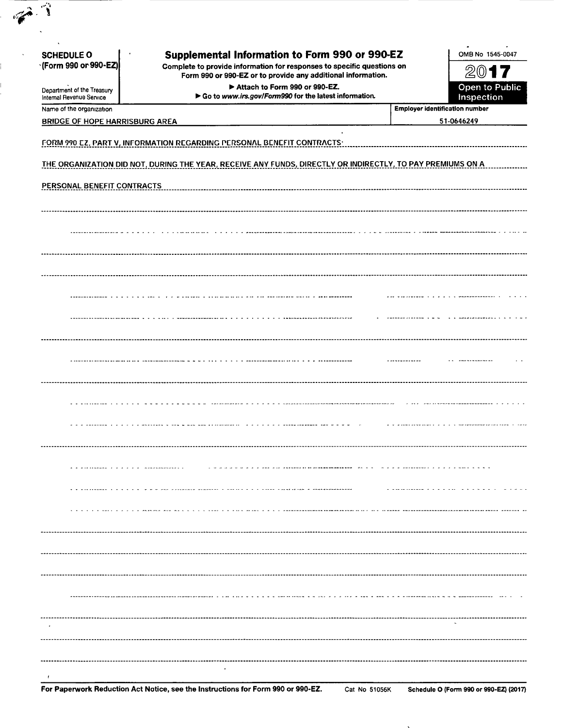| <b>SCHEDULE O</b><br>*(Form 990 or 990-EZ)             | <b>Supplemental Information to Form 990 or 990-EZ</b><br>Complete to provide information for responses to specific questions on<br>Form 990 or 990-EZ or to provide any additional information. | OMB No 1545-0047<br>20                |
|--------------------------------------------------------|-------------------------------------------------------------------------------------------------------------------------------------------------------------------------------------------------|---------------------------------------|
| Department of the Treasury<br>Internal Revenue Service | Attach to Form 990 or 990-EZ.<br>Go to www.irs.gov/Form990 for the latest information.                                                                                                          | Open to Public<br>Inspection          |
| Name of the organization                               |                                                                                                                                                                                                 | <b>Employer identification number</b> |
| <b>BRIDGE OF HOPE HARRISBURG AREA</b>                  |                                                                                                                                                                                                 | 51-0646249                            |
|                                                        | <b>FORM 990 EZ, PART V, INFORMATION REGARDING PERSONAL BENEFIT CONTRACTS:</b>                                                                                                                   |                                       |
|                                                        | THE ORGANIZATION DID NOT, DURING THE YEAR, RECEIVE ANY FUNDS, DIRECTLY OR INDIRECTLY, TO PAY PREMIUMS ON A                                                                                      |                                       |
|                                                        |                                                                                                                                                                                                 |                                       |
| PERSONAL BENEFIT CONTRACTS                             |                                                                                                                                                                                                 |                                       |
|                                                        |                                                                                                                                                                                                 |                                       |
|                                                        |                                                                                                                                                                                                 |                                       |
|                                                        |                                                                                                                                                                                                 |                                       |
|                                                        |                                                                                                                                                                                                 |                                       |
|                                                        |                                                                                                                                                                                                 |                                       |
|                                                        |                                                                                                                                                                                                 |                                       |
|                                                        |                                                                                                                                                                                                 |                                       |
|                                                        |                                                                                                                                                                                                 |                                       |
|                                                        |                                                                                                                                                                                                 |                                       |
|                                                        |                                                                                                                                                                                                 |                                       |
|                                                        |                                                                                                                                                                                                 |                                       |
|                                                        |                                                                                                                                                                                                 |                                       |
|                                                        |                                                                                                                                                                                                 |                                       |
|                                                        |                                                                                                                                                                                                 |                                       |
|                                                        |                                                                                                                                                                                                 |                                       |
|                                                        | a a a adadigad y y y y y a asalacac c'had d'un. End pesnedenne e ' a a a a a a a ghampampham mpe e e e e e                                                                                      |                                       |
|                                                        |                                                                                                                                                                                                 |                                       |
|                                                        |                                                                                                                                                                                                 |                                       |
| a a garananan yaya ya shekaruwan wana                  |                                                                                                                                                                                                 |                                       |
|                                                        | a a circuito da cara a a a a a constituir concelho e curso da cara circuitezza y vegeneren el                                                                                                   |                                       |
|                                                        |                                                                                                                                                                                                 |                                       |
|                                                        |                                                                                                                                                                                                 |                                       |
|                                                        |                                                                                                                                                                                                 |                                       |
|                                                        |                                                                                                                                                                                                 |                                       |
|                                                        |                                                                                                                                                                                                 |                                       |
|                                                        |                                                                                                                                                                                                 |                                       |
|                                                        |                                                                                                                                                                                                 |                                       |
|                                                        |                                                                                                                                                                                                 |                                       |
|                                                        |                                                                                                                                                                                                 | <b>Contract</b>                       |
|                                                        |                                                                                                                                                                                                 |                                       |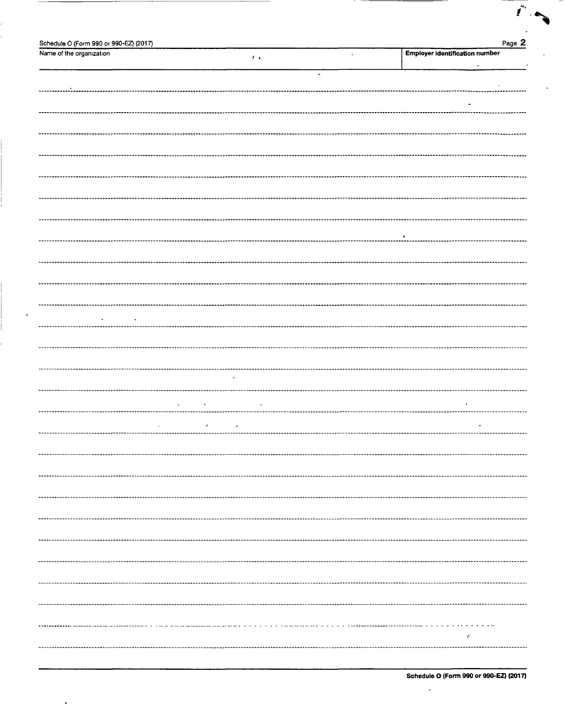| Schedule O (Form 990 or 990-EZ) (2017)      | Page 2                                   |
|---------------------------------------------|------------------------------------------|
| Name of the organization<br>$\mathcal{F}$ . | Employer identification number<br>$\,$ , |
|                                             | $\epsilon$                               |
|                                             | $\bullet$                                |
| -------------------------------             |                                          |
|                                             |                                          |
|                                             | ٠                                        |
|                                             |                                          |
|                                             |                                          |
|                                             |                                          |
|                                             |                                          |
|                                             |                                          |
|                                             |                                          |
|                                             |                                          |
|                                             |                                          |
|                                             |                                          |
|                                             |                                          |
|                                             |                                          |
|                                             |                                          |
|                                             |                                          |
|                                             |                                          |
|                                             |                                          |
|                                             |                                          |
|                                             |                                          |
|                                             |                                          |
|                                             |                                          |
|                                             |                                          |
|                                             |                                          |
|                                             |                                          |
|                                             |                                          |
|                                             |                                          |
|                                             |                                          |
| $\bullet$                                   |                                          |
|                                             |                                          |
|                                             |                                          |
|                                             |                                          |
|                                             |                                          |
| x                                           |                                          |
|                                             |                                          |
|                                             |                                          |
|                                             |                                          |
|                                             |                                          |
|                                             |                                          |
|                                             |                                          |
|                                             |                                          |
|                                             |                                          |
|                                             |                                          |
|                                             |                                          |
|                                             |                                          |
|                                             |                                          |
|                                             |                                          |
|                                             |                                          |
|                                             |                                          |
|                                             |                                          |
|                                             |                                          |
|                                             |                                          |
|                                             |                                          |
|                                             | .                                        |
|                                             | x                                        |
|                                             |                                          |
|                                             |                                          |

| Schedule O (Form 990 or 990-EZ) (2017) |  |  |  |  |  |  |  |
|----------------------------------------|--|--|--|--|--|--|--|
|----------------------------------------|--|--|--|--|--|--|--|

 $\bar{r}$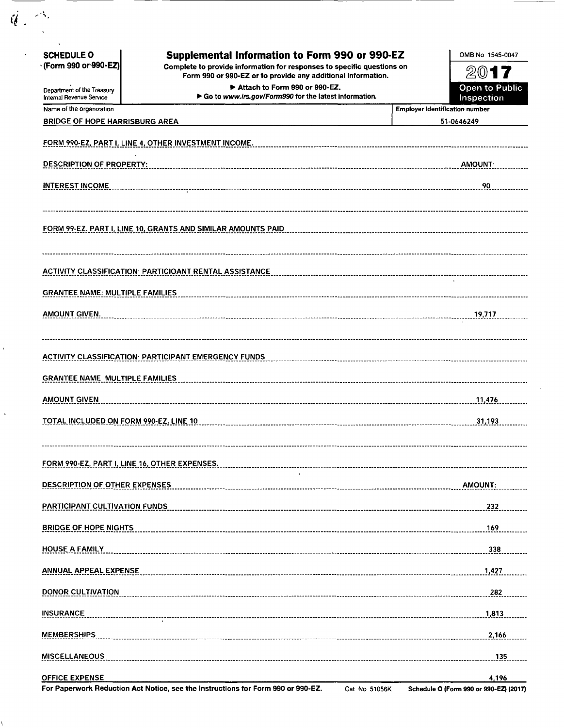| <b>SCHEDULE O</b>                                    | <b>Supplemental Information to Form 990 or 990-EZ</b>                                         | OMB No 1545-0047                                    |
|------------------------------------------------------|-----------------------------------------------------------------------------------------------|-----------------------------------------------------|
| · (Form 990 or 990-EZ)                               | Complete to provide information for responses to specific questions on                        | 2017                                                |
| Department of the Treasury                           | Form 990 or 990-EZ or to provide any additional information.<br>Attach to Form 990 or 990-EZ. | Open to Public                                      |
| Internal Revenue Service<br>Name of the organization | Go to www.irs.gov/Form990 for the latest information.                                         | Inspection<br><b>Employer Identification number</b> |
| <b>BRIDGE OF HOPE HARRISBURG AREA</b>                |                                                                                               | 51-0646249                                          |
|                                                      | FORM 990-EZ, PART I, LINE 4, OTHER INVESTMENT INCOME.                                         |                                                     |
| <b>DESCRIPTION OF PROPERTY:</b>                      |                                                                                               | <b>AMOUNT</b>                                       |
| <b>INTEREST INCOME</b>                               |                                                                                               | 90                                                  |
|                                                      | FORM 99-EZ. PART I, LINE 10, GRANTS AND SIMILAR AMOUNTS PAID                                  |                                                     |
|                                                      | ACTIVITY CLASSIFICATION: PARTICIOANT RENTAL ASSISTANCE                                        |                                                     |
| <b>GRANTEE NAME: MULTIPLE FAMILIES</b>               |                                                                                               |                                                     |
| AMOUNT GIVEN.                                        |                                                                                               | 19.717                                              |
|                                                      | <b>ACTIVITY CLASSIFICATION: PARTICIPANT EMERGENCY FUNDS</b>                                   |                                                     |
| <b>GRANTEE NAME MULTIPLE FAMILIES</b>                |                                                                                               |                                                     |
| <b>AMOUNT GIVEN</b>                                  |                                                                                               | 11,476                                              |
| TOTAL INCLUDED ON FORM 990-EZ, LINE 10               |                                                                                               | 31,193                                              |
| FORM 990-EZ, PART I, LINE 16, OTHER EXPENSES.        |                                                                                               |                                                     |
| <b>DESCRIPTION OF OTHER EXPENSES</b>                 |                                                                                               | AMOUNT:                                             |
| <b>PARTICIPANT CULTIVATION FUNDS</b>                 |                                                                                               | 232                                                 |
| <b>BRIDGE OF HOPE NIGHTS</b>                         |                                                                                               | 169                                                 |
| <b>HOUSE A FAMILY</b>                                |                                                                                               | 338                                                 |
| <b>ANNUAL APPEAL EXPENSE</b>                         |                                                                                               | 1,427                                               |
| <b>DONOR CULTIVATION</b>                             |                                                                                               | 282                                                 |
|                                                      |                                                                                               | 1,813                                               |
| <b>INSURANCE</b>                                     |                                                                                               |                                                     |
| <b>MEMBERSHIPS</b>                                   |                                                                                               | 2,166                                               |

 $\frac{1}{2}$ 

 $\frac{1}{\sqrt{2}}$